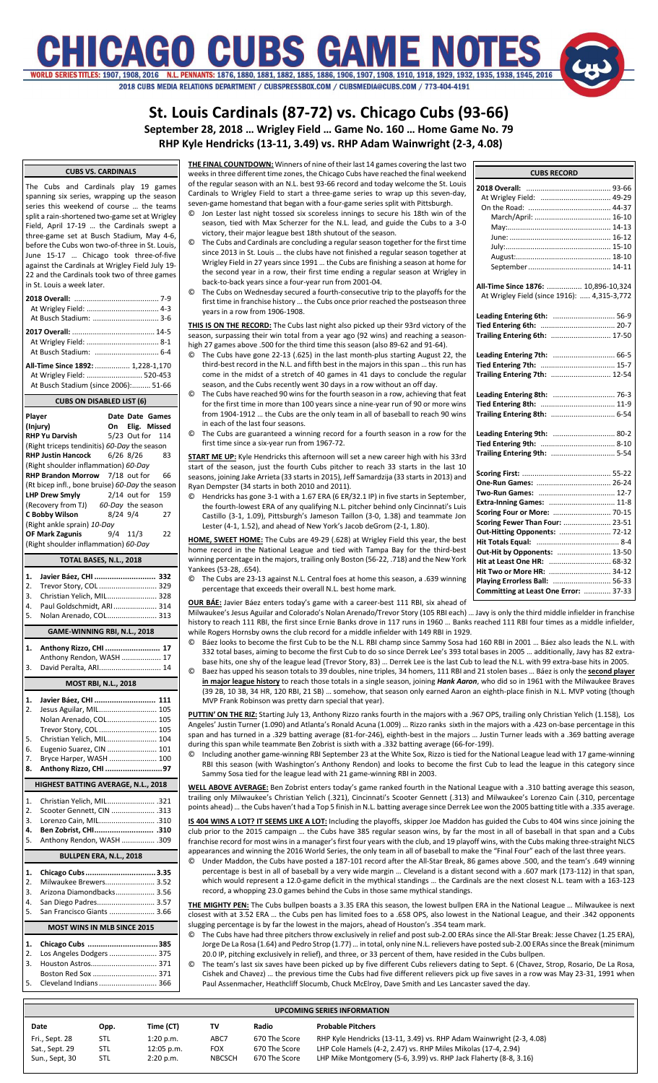# IICAGO CUBS GAME N : 1907, 1908, 2016 N.L. PENNANTS: 1876, 1880, 1881, 1882, 1885, 1886, 1906, 1907, 1908, 1910, 1918, 1929, 1932, 1935, 1938, 1945, 2016 2018 CUBS MEDIA RELATIONS DEPARTMENT / CUBSPRESSBOX.COM / CUBSMEDIA@CUBS.COM / 773-404-4191

**St. Louis Cardinals (87-72) vs. Chicago Cubs (93-66)**

**September 28, 2018 … Wrigley Field … Game No. 160 … Home Game No. 79**

**RHP Kyle Hendricks (13-11, 3.49) vs. RHP Adam Wainwright (2-3, 4.08)**

### **CUBS VS. CARDINALS**

The Cubs and Cardinals play 19 games spanning six series, wrapping up the season series this weekend of course … the teams split a rain-shortened two-game set at Wrigley Field, April 17-19 … the Cardinals swept a three-game set at Busch Stadium, May 4-6, before the Cubs won two-of-three in St. Louis, June 15-17 … Chicago took three-of-five against the Cardinals at Wrigley Field July 19- 22 and the Cardinals took two of three games in St. Louis a week later.

**2018 Overall:** ......................................... 7-9 At Wrigley Field: ................................... 4-3 At Busch Stadium: ................................ 3-6 **2017 Overall:** ........................................ 14-5 At Wrigley Field: ................................... 8-1 At Busch Stadium: ............................... 6-4 **All-Time Since 1892:** ................. 1,228-1,170 At Wrigley Field: ........... At Busch Stadium (since 2006):......... 51-66

**CUBS ON DISABLED LIST (6) Player Date Date Games (Injury) On Elig. Missed RHP Yu Darvish** 5/23 Out for 114 (Right triceps tendinitis) *60-Day* the season **RHP Justin Hancock** 6/26 8/26 83 (Right shoulder inflammation) *60-Day* **RHP Brandon Morrow** 7/18 out for 66 (Rt bicep infl., bone bruise) *60-Day* the season **LHP Drew Smyly** 2/14 out for 159<br>(Recovery from TJ) 60-Day the season (Recovery from TJ) *60-Day* the season **C Bobby Wilson** (Right ankle sprain) *10-Day* **OF Mark Zagunis** 9/4 11/3 22 (Right shoulder inflammation) *60-Day*

**TOTAL BASES, N.L., 2018 1. Javier Báez, CHI ............................ 332** 2. Trevor Story, COL ................................. 329<br>3. Christian Yelich, MIL............................ 328 3. Christian Yelich, MIL........................ 328 4. Paul Goldschmidt, ARI..................... 314 5. Nolan Arenado, COL........................ 313 **GAME-WINNING RBI, N.L., 2018 1. Anthony Rizzo, CHI ......................... 17**

Anthony Rendon, WASH ................... 17 3. David Peralta, ARI.............................. 14 **MOST RBI, N.L., 2018**

### **1. Javier Báez, CHI ............................ 111** 2. Jesus Aguilar, MIL............................ 105 Nolan Arenado, COL........................ 105 Trevor Story, COL ............................ 105 5. Christian Yelich, MIL........................ 104 6. Eugenio Suarez, CIN ........................ 101 7. Bryce Harper, WASH ....................... 100 **8. Anthony Rizzo, CHI ..........................97 HIGHEST BATTING AVERAGE, N.L., 2018** 1. Christian Yelich, MIL....................... .321 2. Scooter Gennett, CIN ..................... .313 3. Lorenzo Cain, MIL........................... .310 **4. Ben Zobrist, CHI........................... .310** 5. Anthony Rendon, WASH ................ .309 **BULLPEN ERA, N.L., 2018 1. Chicago Cubs................................3.35** 2. Milwaukee Brewers........................ 3.52 3. Arizona Diamondbacks................... 3.56 4. San Diego Padres............................ 3.57 5. San Francisco Giants ...................... 3.66 **MOST WINS IN MLB SINCE 2015**

| 1. Chicago Cubs 385         |
|-----------------------------|
| 2. Los Angeles Dodgers  375 |
|                             |
| Boston Red Sox  371         |
| 5. Cleveland Indians  366   |

**THE FINAL COUNTDOWN:** Winners of nine of their last 14 games covering the last two weeks in three different time zones, the Chicago Cubs have reached the final weekend of the regular season with an N.L. best 93-66 record and today welcome the St. Louis Cardinals to Wrigley Field to start a three-game series to wrap up this seven-day, seven-game homestand that began with a four-game series split with Pittsburgh.

- Jon Lester last night tossed six scoreless innings to secure his 18th win of the season, tied with Max Scherzer for the N.L. lead, and guide the Cubs to a 3-0 victory, their major league best 18th shutout of the season.
- © The Cubs and Cardinals are concluding a regular season together for the first time since 2013 in St. Louis … the clubs have not finished a regular season together at Wrigley Field in 27 years since 1991 … the Cubs are finishing a season at home for the second year in a row, their first time ending a regular season at Wrigley in back-to-back years since a four-year run from 2001-04.
- © The Cubs on Wednesday secured a fourth-consecutive trip to the playoffs for the first time in franchise history … the Cubs once prior reached the postseason three years in a row from 1906-1908.

**THIS IS ON THE RECORD:** The Cubs last night also picked up their 93rd victory of the season, surpassing their win total from a year ago (92 wins) and reaching a seasonhigh 27 games above .500 for the third time this season (also 89-62 and 91-64).

- © The Cubs have gone 22-13 (.625) in the last month-plus starting August 22, the third-best record in the N.L. and fifth best in the majors in this span … this run has come in the midst of a stretch of 40 games in 41 days to conclude the regular season, and the Cubs recently went 30 days in a row without an off day.
- © The Cubs have reached 90 wins for the fourth season in a row, achieving that feat for the first time in more than 100 years since a nine-year run of 90 or more wins from 1904-1912 … the Cubs are the only team in all of baseball to reach 90 wins in each of the last four seasons.
- The Cubs are guaranteed a winning record for a fourth season in a row for the first time since a six-year run from 1967-72.

**START ME UP:** Kyle Hendricks this afternoon will set a new career high with his 33rd start of the season, just the fourth Cubs pitcher to reach 33 starts in the last 10 seasons, joining Jake Arrieta (33 starts in 2015), Jeff Samardzija (33 starts in 2013) and Ryan Dempster (34 starts in both 2010 and 2011).

© Hendricks has gone 3-1 with a 1.67 ERA (6 ER/32.1 IP) in five starts in September, the fourth-lowest ERA of any qualifying N.L. pitcher behind only Cincinnati's Luis Castillo (3-1, 1.09), Pittsburgh's Jameson Taillon (3-0, 1.38) and teammate Jon Lester (4-1, 1.52), and ahead of New York's Jacob deGrom (2-1, 1.80).

**HOME, SWEET HOME:** The Cubs are 49-29 (.628) at Wrigley Field this year, the best home record in the National League and tied with Tampa Bay for the third-best winning percentage in the majors, trailing only Boston (56-22, .718) and the New York Yankees (53-28, .654).

© The Cubs are 23-13 against N.L. Central foes at home this season, a .639 winning percentage that exceeds their overall N.L. best home mark.

**OUR BÁE:** Javier Báez enters today's game with a career-best 111 RBI, six ahead of Milwaukee's Jesus Aguilar and Colorado's Nolan Arenado/Trevor Story (105 RBI each) … Javy is only the third middle infielder in franchise history to reach 111 RBI, the first since Ernie Banks drove in 117 runs in 1960 ... Banks reached 111 RBI four times as a middle infielder.

- while Rogers Hornsby owns the club record for a middle infielder with 149 RBI in 1929.<br>© Báez Jonks to become the first Cub to be the N L. RBI champ since Sammy Sosa ha © Báez looks to become the first Cub to be the N.L. RBI champ since Sammy Sosa had 160 RBI in 2001 … Báez also leads the N.L. with 332 total bases, aiming to become the first Cub to do so since Derrek Lee's 393 total bases in 2005 … additionally, Javy has 82 extrabase hits, one shy of the league lead (Trevor Story, 83) … Derrek Lee is the last Cub to lead the N.L. with 99 extra-base hits in 2005.
- © Baez has upped his season totals to 39 doubles, nine triples, 34 homers, 111 RBI and 21 stolen bases … Báezis only the **second player in major league history** to reach those totals in a single season, joining *Hank Aaron*, who did so in 1961 with the Milwaukee Braves (39 2B, 10 3B, 34 HR, 120 RBI, 21 SB) … somehow, that season only earned Aaron an eighth-place finish in N.L. MVP voting (though MVP Frank Robinson was pretty darn special that year).

**PUTTIN' ON THE RIZ:** Starting July 13, Anthony Rizzo ranks fourth in the majors with a .967 OPS, trailing only Christian Yelich (1.158), Los Angeles' Justin Turner (1.090) and Atlanta's Ronald Acuna (1.009) … Rizzo ranks sixth in the majors with a .423 on-base percentage in this span and has turned in a .329 batting average (81-for-246), eighth-best in the majors … Justin Turner leads with a .369 batting average during this span while teammate Ben Zobrist is sixth with a .332 batting average (66-for-199).

© Including another game-winning RBI September 23 at the White Sox, Rizzo is tied for the National League lead with 17 game-winning RBI this season (with Washington's Anthony Rendon) and looks to become the first Cub to lead the league in this category since Sammy Sosa tied for the league lead with 21 game-winning RBI in 2003.

**WELL ABOVE AVERAGE:** Ben Zobrist enters today's game ranked fourth in the National League with a .310 batting average this season, trailing only Milwaukee's Christian Yelich (.321), Cincinnati's Scooter Gennett (.313) and Milwaukee's Lorenzo Cain (.310, percentage points ahead) … the Cubs haven't had a Top 5 finish in N.L. batting average since Derrek Lee won the 2005 batting title with a .335 average.

**IS 404 WINS A LOT? IT SEEMS LIKE A LOT:** Including the playoffs, skipper Joe Maddon has guided the Cubs to 404 wins since joining the club prior to the 2015 campaign … the Cubs have 385 regular season wins, by far the most in all of baseball in that span and a Cubs franchise record for most wins in a manager's first four years with the club, and 19 playoff wins, with the Cubs making three-straight NLCS appearances and winning the 2016 World Series, the only team in all of baseball to make the "Final Four" each of the last three years.

© Under Maddon, the Cubs have posted a 187-101 record after the All-Star Break, 86 games above .500, and the team's .649 winning percentage is best in all of baseball by a very wide margin … Cleveland is a distant second with a .607 mark (173-112) in that span, which would represent a 12.0-game deficit in the mythical standings … the Cardinals are the next closest N.L. team with a 163-123 record, a whopping 23.0 games behind the Cubs in those same mythical standings.

**THE MIGHTY PEN:** The Cubs bullpen boasts a 3.35 ERA this season, the lowest bullpen ERA in the National League … Milwaukee is next closest with at 3.52 ERA … the Cubs pen has limited foes to a .658 OPS, also lowest in the National League, and their .342 opponents slugging percentage is by far the lowest in the majors, ahead of Houston's .354 team mark.

- © The Cubs have had three pitchers throw exclusively in relief and post sub-2.00 ERAs since the All-Star Break: Jesse Chavez (1.25 ERA), Jorge De La Rosa (1.64) and Pedro Strop (1.77)… in total, only nine N.L. relievers have posted sub-2.00 ERAs since the Break (minimum 20.0 IP, pitching exclusively in relief), and three, or 33 percent of them, have resided in the Cubs bullpen.
- The team's last six saves have been picked up by five different Cubs relievers dating to Sept. 6 (Chavez, Strop, Rosario, De La Rosa, Cishek and Chavez) … the previous time the Cubs had five different relievers pick up five saves in a row was May 23-31, 1991 when Paul Assenmacher, Heathcliff Slocumb, Chuck McElroy, Dave Smith and Les Lancaster saved the day.

|                | <b>UPCOMING SERIES INFORMATION</b> |              |               |               |                                                                      |  |  |  |  |  |  |  |
|----------------|------------------------------------|--------------|---------------|---------------|----------------------------------------------------------------------|--|--|--|--|--|--|--|
| Date           | Opp.                               | Time (CT)    | т٧            | Radio         | <b>Probable Pitchers</b>                                             |  |  |  |  |  |  |  |
| Fri., Sept. 28 | STL                                | 1:20 p.m.    | ABC7          | 670 The Score | RHP Kyle Hendricks (13-11, 3.49) vs. RHP Adam Wainwright (2-3, 4.08) |  |  |  |  |  |  |  |
| Sat., Sept. 29 | STL.                               | $12:05$ p.m. | <b>FOX</b>    | 670 The Score | LHP Cole Hamels (4-2, 2.47) vs. RHP Miles Mikolas (17-4, 2.94)       |  |  |  |  |  |  |  |
| Sun., Sept, 30 | STL                                | 2:20 p.m.    | <b>NBCSCH</b> | 670 The Score | LHP Mike Montgomery (5-6, 3.99) vs. RHP Jack Flaherty (8-8, 3.16)    |  |  |  |  |  |  |  |

| <b>CUBS RECORD</b>                          |
|---------------------------------------------|
|                                             |
|                                             |
|                                             |
|                                             |
|                                             |
|                                             |
|                                             |
|                                             |
|                                             |
| All-Time Since 1876:  10,896-10,324         |
| At Wrigley Field (since 1916):  4,315-3,772 |
|                                             |
| Leading Entering 6th:  56-9                 |
|                                             |
| Trailing Entering 6th:  17-50               |
|                                             |
| Leading Entering 7th:  66-5                 |
|                                             |
| Trailing Entering 7th:  12-54               |
|                                             |
| Leading Entering 8th:  76-3                 |
|                                             |
|                                             |
|                                             |
|                                             |
|                                             |
|                                             |
|                                             |
|                                             |
|                                             |
|                                             |
| Extra-Inning Games:  11-8                   |
| Scoring Four or More:  70-15                |
| Scoring Fewer Than Four:  23-51             |
| Out-Hitting Opponents:  72-12               |
|                                             |
| Out-Hit by Opponents:  13-50                |
| Hit at Least One HR:  68-32                 |
| Hit Two or More HR:  34-12                  |
| Playing Errorless Ball:  56-33              |
| Committing at Least One Error:  37-33       |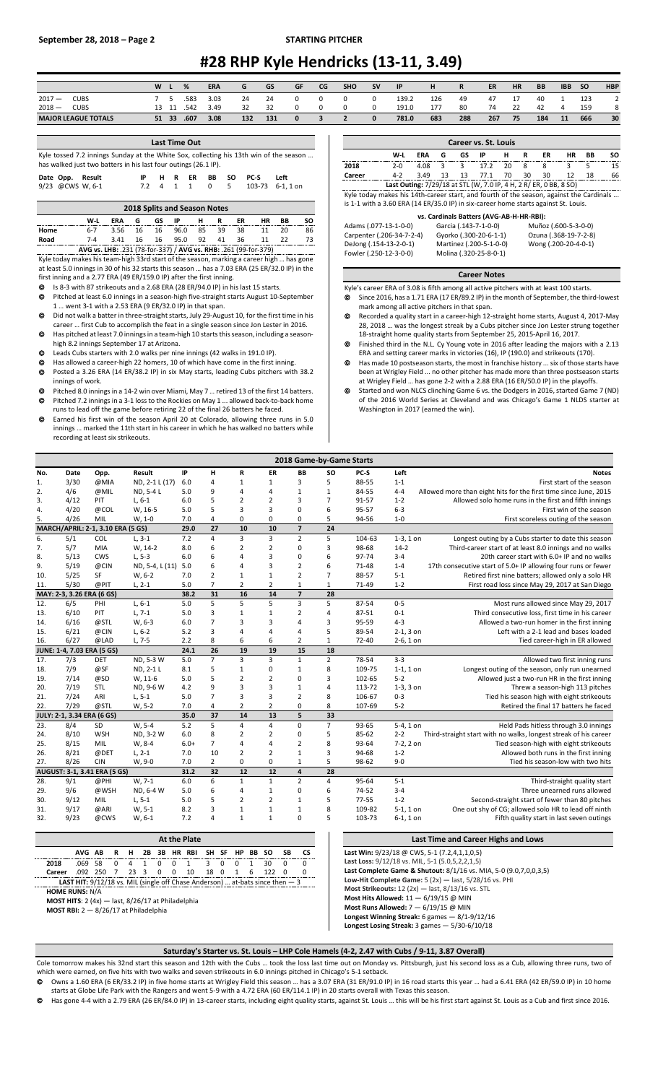## **#28 RHP Kyle Hendricks (13-11, 3.49)**

|          |                            | W |       | %    | <b>ERA</b> | G   | GS  | GF       | CG | <b>SHO</b> | <b>SV</b>    | IP    | н   | R   | ER  | <b>HR</b> | <b>BB</b> | <b>IBB</b> | <b>SO</b> | <b>HBP</b> |
|----------|----------------------------|---|-------|------|------------|-----|-----|----------|----|------------|--------------|-------|-----|-----|-----|-----------|-----------|------------|-----------|------------|
| $2017 -$ | CUBS                       |   |       | .583 | 3.03       | 24  | 24  |          |    |            |              | 139.2 | 126 | 49  | 47  | 17        | 40        |            | 123       | $\sim$     |
| $2018 -$ | CUBS                       |   | 13 11 | .542 | 3.49       | 32  | 32  |          |    |            | $\Omega$     | 191.0 | 177 | 80  | 74  | 22        | 42        |            | 159       | 8          |
|          | <b>MAJOR LEAGUE TOTALS</b> |   | 51 33 | .607 | 3.08       | 132 | 131 | $\Omega$ |    |            | $\mathbf{0}$ | 781.0 | 683 | 288 | 267 | 75        | 184       | 11         | 666       | 30         |
|          |                            |   |       |      |            |     |     |          |    |            |              |       |     |     |     |           |           |            |           |            |

| <b>Last Time Out</b>                                                                                                                                      |  |      |  |       |    |     |      |             |                 |  |  |  |  |
|-----------------------------------------------------------------------------------------------------------------------------------------------------------|--|------|--|-------|----|-----|------|-------------|-----------------|--|--|--|--|
| Kyle tossed 7.2 innings Sunday at the White Sox, collecting his 13th win of the season<br>has walked just two batters in his last four outings (26.1 IP). |  |      |  |       |    |     |      |             |                 |  |  |  |  |
| Date Opp. Result                                                                                                                                          |  | IP - |  | HR.   | ER | BB. | SO.  | <b>PC-S</b> | l eft           |  |  |  |  |
| 9/23 @CWS W, 6-1                                                                                                                                          |  | 72   |  | 4 1 1 |    | 0   | $-5$ |             | 103-73 6-1.1 on |  |  |  |  |

| <b>2018 Splits and Season Notes</b> |                                                                 |         |         |     |      |     |    |     |    |    |    |  |
|-------------------------------------|-----------------------------------------------------------------|---------|---------|-----|------|-----|----|-----|----|----|----|--|
|                                     | W-L                                                             | ERA     | G       | GS. | IP   | н   | R  | ER. | НR | ВB | SΟ |  |
| Home                                | հ-7                                                             | 3.56 16 |         | 16  | 96.0 | 85. | 39 | 38  |    | 20 | 86 |  |
| Road                                | 7-4                                                             |         | 3.41 16 | 16  | 95.0 | 92  | 41 | 36  | 11 | 22 | 73 |  |
|                                     | AVG vs. LHB: .231 (78-for-337) / AVG vs. RHB: .261 (99-for-379) |         |         |     |      |     |    |     |    |    |    |  |

Kyle today makes his team-high 33rd start of the season, marking a career high … has gone at least 5.0 innings in 30 of his 32 starts this season … has a 7.03 ERA (25 ER/32.0 IP) in the first inning and a 2.77 ERA (49 ER/159.0 IP) after the first inning.

- Is 8-3 with 87 strikeouts and a 2.68 ERA (28 ER/94.0 IP) in his last 15 starts.
- Pitched at least 6.0 innings in a season-high five-straight starts August 10-September 1 … went 3-1 with a 2.53 ERA (9 ER/32.0 IP) in that span.
- Did not walk a batter in three-straight starts, July 29-August 10, for the first time in his
- career … first Cub to accomplish the feat in a single season since Jon Lester in 2016. Has pitched at least 7.0 inningsin a team-high 10 starts this season, including a seasonhigh 8.2 innings September 17 at Arizona.
- Leads Cubs starters with 2.0 walks per nine innings (42 walks in 191.0 IP).
- Has allowed a career-high 22 homers, 10 of which have come in the first inning. Posted a 3.26 ERA (14 ER/38.2 IP) in six May starts, leading Cubs pitchers with 38.2
- innings of work. Pitched 8.0 innings in a 14-2 win over Miami, May 7 … retired 13 of the first 14 batters.
- Pitched 7.2 innings in a 3-1 loss to the Rockies on May 1 ... allowed back-to-back home runs to lead off the game before retiring 22 of the final 26 batters he faced.
- Earned his first win of the season April 20 at Colorado, allowing three runs in 5.0 innings … marked the 11th start in his career in which he has walked no batters while recording at least six strikeouts.

|                                                                                         | Career vs. St. Louis                                              |            |    |    |                        |    |    |    |                       |    |    |  |  |  |
|-----------------------------------------------------------------------------------------|-------------------------------------------------------------------|------------|----|----|------------------------|----|----|----|-----------------------|----|----|--|--|--|
|                                                                                         | W-L                                                               | <b>ERA</b> | G  | GS | IP                     | н  | R  | ER | <b>HR</b>             | BB | SΟ |  |  |  |
| 2018                                                                                    | $2 - 0$                                                           | 4.08       | 3  | 3  | 17 <sub>2</sub>        | 20 | 8  | 8  | 3                     | 5  | 15 |  |  |  |
| Career                                                                                  | $4 - 2$                                                           | 3.49       | 13 | 13 | 77.1                   | 70 | 30 | 30 | 12                    | 18 | 66 |  |  |  |
|                                                                                         | Last Outing: 7/29/18 at STL (W, 7.0 IP, 4 H, 2 R/ ER, 0 BB, 8 SO) |            |    |    |                        |    |    |    |                       |    |    |  |  |  |
| Kyle today makes his 14th-career start, and fourth of the season, against the Cardinals |                                                                   |            |    |    |                        |    |    |    |                       |    |    |  |  |  |
| is 1-1 with a 3.60 ERA (14 ER/35.0 IP) in six-career home starts against St. Louis.     |                                                                   |            |    |    |                        |    |    |    |                       |    |    |  |  |  |
|                                                                                         | vs. Cardinals Batters (AVG-AB-H-HR-RBI):                          |            |    |    |                        |    |    |    |                       |    |    |  |  |  |
| Adams (.077-13-1-0-0)                                                                   |                                                                   |            |    |    | Garcia (.143-7-1-0-0)  |    |    |    | Muñoz (.600-5-3-0-0)  |    |    |  |  |  |
| Carpenter (.206-34-7-2-4)                                                               |                                                                   |            |    |    | Gyorko (.300-20-6-1-1) |    |    |    | Ozuna (.368-19-7-2-8) |    |    |  |  |  |

#### **Career Notes**

DeJong (.154-13-2-0-1) Martinez (.200-5-1-0-0) Wong (.200-20-4-0-1) Molina (.320-25-8-0-1)

- Kyle's career ERA of 3.08 is fifth among all active pitchers with at least 100 starts. Since 2016, has a 1.71 ERA (17 ER/89.2 IP) in the month of September, the third-lowest
- mark among all active pitchers in that span. Recorded a quality start in a career-high 12-straight home starts, August 4, 2017-May 28, 2018 … was the longest streak by a Cubs pitcher since Jon Lester strung together
- 18-straight home quality starts from September 25, 2015-April 16, 2017. Finished third in the N.L. Cy Young vote in 2016 after leading the majors with a 2.13
- ERA and setting career marks in victories (16), IP (190.0) and strikeouts (170). Has made 10 postseason starts, the most in franchise history ... six of those starts have
- been at Wrigley Field ... no other pitcher has made more than three postseason starts at Wrigley Field … has gone 2-2 with a 2.88 ERA (16 ER/50.0 IP) in the playoffs.
- Started and won NLCS clinching Game 6 vs. the Dodgers in 2016, started Game 7 (ND) of the 2016 World Series at Cleveland and was Chicago's Game 1 NLDS starter at Washington in 2017 (earned the win).

|     |                            |                                   |                 |        |                |                |                |                         | 2018 Game-by-Game Starts |           |             |                                                                  |
|-----|----------------------------|-----------------------------------|-----------------|--------|----------------|----------------|----------------|-------------------------|--------------------------|-----------|-------------|------------------------------------------------------------------|
| No. | Date                       | Opp.                              | Result          | IP     | н              | R              | ER             | BB                      | <b>SO</b>                | PC-S      | Left        | <b>Notes</b>                                                     |
| 1.  | 3/30                       | @MIA                              | ND, 2-1 L (17)  | 6.0    | $\overline{4}$ | $\mathbf{1}$   | 1              | 3                       | 5                        | 88-55     | $1 - 1$     | First start of the season                                        |
| 2.  | 4/6                        | @MIL                              | ND, 5-4 L       | 5.0    | 9              | 4              | 4              | $\mathbf{1}$            | $\mathbf{1}$             | 84-55     | $4 - 4$     | Allowed more than eight hits for the first time since June, 2015 |
| 3.  | 4/12                       | PIT                               | $L, 6-1$        | 6.0    | 5              | $\overline{2}$ | $\overline{2}$ | 3                       | $\overline{7}$           | 91-57     | $1 - 2$     | Allowed solo home runs in the first and fifth innings            |
| 4.  | 4/20                       | @COL                              | W, 16-5         | 5.0    | 5              | 3              | 3              | 0                       | 6                        | 95-57     | $6 - 3$     | First win of the season                                          |
| 5.  | 4/26                       | MIL                               | $W, 1-0$        | 7.0    | 4              | 0              | 0              | 0                       | 5                        | 94-56     | $1 - 0$     | First scoreless outing of the season                             |
|     |                            | MARCH/APRIL: 2-1, 3.10 ERA (5 GS) |                 | 29.0   | 27             | 10             | 10             | $\overline{\mathbf{z}}$ | 24                       |           |             |                                                                  |
| 6.  | 5/1                        | COL                               | $L, 3-1$        | 7.2    | $\overline{4}$ | $\overline{3}$ | $\overline{3}$ | $\overline{2}$          | 5                        | 104-63    | $1-3, 1$ on | Longest outing by a Cubs starter to date this season             |
| 7.  | 5/7                        | <b>MIA</b>                        | W, 14-2         | 8.0    | 6              | $\overline{2}$ | $\overline{2}$ | 0                       | 3                        | 98-68     | $14-2$      | Third-career start of at least 8.0 innings and no walks          |
| 8.  | 5/13                       | <b>CWS</b>                        | $L, 5-3$        | 6.0    | 6              | 4              | 3              | 0                       | 6                        | 97-74     | $3 - 4$     | 20th career start with 6.0+ IP and no walks                      |
| 9.  | 5/19                       | @CIN                              | ND, 5-4, L (11) | 5.0    | 6              | 4              | 3              | $\overline{2}$          | 6                        | 71-48     | $1 - 4$     | 17th consecutive start of 5.0+ IP allowing four runs or fewer    |
| 10. | 5/25                       | SF                                | W, 6-2          | 7.0    | $\overline{2}$ | $\mathbf 1$    | $\mathbf{1}$   | $\overline{2}$          | $\overline{7}$           | 88-57     | $5-1$       | Retired first nine batters; allowed only a solo HR               |
| 11. | 5/30                       | @PIT                              | $L, 2-1$        | 5.0    | $\overline{7}$ | $\overline{2}$ | $\overline{2}$ | $\mathbf{1}$            | $\mathbf{1}$             | 71-49     | $1 - 2$     | First road loss since May 29, 2017 at San Diego                  |
|     | MAY: 2-3, 3.26 ERA (6 GS)  |                                   |                 | 38.2   | 31             | 16             | 14             | $\overline{7}$          | 28                       |           |             |                                                                  |
| 12. | 6/5                        | PHI                               | $L, 6-1$        | 5.0    | 5              | 5              | 5              | 3                       | 5                        | 87-54     | $0 - 5$     | Most runs allowed since May 29, 2017                             |
| 13. | 6/10                       | PIT                               | $L, 7-1$        | 5.0    | 3              | $1\,$          | $\mathbf{1}$   | $\overline{2}$          | 4                        | 87-51     | $0 - 1$     | Third consecutive loss, first time in his career                 |
| 14. | 6/16                       | @STL                              | W, 6-3          | 6.0    | $\overline{7}$ | 3              | 3              | 4                       | 3                        | 95-59     | $4 - 3$     | Allowed a two-run homer in the first inning                      |
| 15. | 6/21                       | @CIN                              | $L, 6-2$        | 5.2    | 3              | 4              | 4              | 4                       | 5                        | 89-54     | $2-1, 3$ on | Left with a 2-1 lead and bases loaded                            |
| 16. | 6/27                       | @LAD                              | L, 7-5          | 2.2    | 8              | 6              | 6              | $\overline{2}$          | $\mathbf{1}$             | 72-40     | $2-6, 1$ on | Tied career-high in ER allowed                                   |
|     | JUNE: 1-4, 7.03 ERA (5 GS) |                                   |                 | 24.1   | 26             | 19             | 19             | 15                      | 18                       |           |             |                                                                  |
| 17. | 7/3                        | <b>DET</b>                        | ND, 5-3 W       | 5.0    | $\overline{7}$ | $\overline{3}$ | $\overline{3}$ | $\mathbf{1}$            | $\overline{2}$           | 78-54     | $3 - 3$     | Allowed two first inning runs                                    |
| 18. | 7/9                        | @SF                               | ND, 2-1 L       | 8.1    | 5              | $1\,$          | 0              | $\mathbf 1$             | 8                        | 109-75    | $1-1, 1$ on | Longest outing of the season, only run unearned                  |
| 19. | 7/14                       | @SD                               | W, 11-6         | 5.0    | 5              | $\mathbf 2$    | $\overline{2}$ | 0                       | 3                        | 102-65    | $5 - 2$     | Allowed just a two-run HR in the first inning                    |
| 20. | 7/19                       | STL                               | ND, 9-6 W       | 4.2    | 9              | 3              | 3              | $\mathbf 1$             | 4                        | 113-72    | $1-3, 3$ on | Threw a season-high 113 pitches                                  |
| 21. | 7/24                       | ARI                               | $L, 5-1$        | 5.0    | $\overline{7}$ | 3              | 3              | $\overline{2}$          | 8                        | 106-67    | $0 - 3$     | Tied his season high with eight strikeouts                       |
| 22. | 7/29                       | @STL                              | W, 5-2          | 7.0    | $\overline{4}$ | $\overline{2}$ | $\overline{2}$ | 0                       | 8                        | 107-69    | $5 - 2$     | Retired the final 17 batters he faced                            |
|     | JULY: 2-1, 3.34 ERA (6 GS) |                                   |                 | 35.0   | 37             | 14             | 13             | 5                       | 33                       |           |             |                                                                  |
| 23. | 8/4                        | SD                                | W, 5-4          | 5.2    | 5              | 4              | 4              | 0                       | $\overline{7}$           | 93-65     | 5-4, 1 on   | Held Pads hitless through 3.0 innings                            |
| 24. | 8/10                       | WSH                               | ND, 3-2 W       | 6.0    | 8              | $\overline{2}$ | $\overline{2}$ | 0                       | 5                        | 85-62     | $2 - 2$     | Third-straight start with no walks, longest streak of his career |
| 25. | 8/15                       | MIL                               | W, 8-4          | $6.0+$ | $\overline{7}$ | 4              | 4              | $\overline{2}$          | 8                        | 93-64     | 7-2, 2 on   | Tied season-high with eight strikeouts                           |
| 26. | 8/21                       | @DET                              | $L, 2-1$        | 7.0    | 10             | $\overline{2}$ | $\overline{2}$ | $\mathbf{1}$            | 3                        | 94-68     | $1 - 2$     | Allowed both runs in the first inning                            |
| 27. | 8/26                       | <b>CIN</b>                        | W, 9-0          | 7.0    | $\overline{2}$ | 0              | 0              | $\mathbf{1}$            | 5                        | 98-62     | $9 - 0$     | Tied his season-low with two hits                                |
|     |                            | AUGUST: 3-1, 3.41 ERA (5 GS)      |                 | 31.2   | 32             | 12             | 12             | $\overline{4}$          | 28                       |           |             |                                                                  |
| 28. | 9/1                        | @PHI                              | $W, 7-1$        | 6.0    | 6              | $\mathbf{1}$   | $\mathbf{1}$   | $\overline{2}$          | 4                        | 95-64     | $5 - 1$     | Third-straight quality start                                     |
| 29. | 9/6                        | @WSH                              | ND, 6-4 W       | 5.0    | 6              | 4              | $\mathbf 1$    | $\mathbf 0$             | 6                        | 74-52     | $3 - 4$     | Three unearned runs allowed                                      |
| 30. | 9/12                       | MIL                               | $L, 5-1$        | 5.0    | 5              | $\overline{2}$ | $\overline{2}$ | $\mathbf{1}$            | 5                        | $77 - 55$ | $1 - 2$     | Second-straight start of fewer than 80 pitches                   |
| 31. | 9/17                       | @ARI                              | $W, 5-1$        | 8.2    | 3              | $1\,$          | $\mathbf{1}$   | $1\,$                   | 8                        | 109-82    | $5-1, 1$ on | One out shy of CG; allowed solo HR to lead off ninth             |
| 32. | 9/23                       | @CWS                              | $W, 6-1$        | 7.2    | $\overline{4}$ | $\mathbf{1}$   | $\mathbf{1}$   | $\Omega$                | 5                        | 103-73    | $6-1, 1$ on | Fifth quality start in last seven outings                        |

|        | At the Plate                                                                            |  |  |  |  |  |  |  |  |  |  |  |                                           |  |      |
|--------|-----------------------------------------------------------------------------------------|--|--|--|--|--|--|--|--|--|--|--|-------------------------------------------|--|------|
|        |                                                                                         |  |  |  |  |  |  |  |  |  |  |  | AVG AB R H 2B 3B HR RBI SH SF HP BB SO SB |  | - CS |
| 2018   |                                                                                         |  |  |  |  |  |  |  |  |  |  |  | 069 58 0 4 1 0 0 1 3 0 0 1 30 0           |  |      |
| Career | 092 250 7 23 3 0 0 10 18 0 1 6 122 0                                                    |  |  |  |  |  |  |  |  |  |  |  |                                           |  |      |
|        | <b>LAST HIT:</b> $9/12/18$ vs. MIL (single off Chase Anderson)  at-bats since then $-3$ |  |  |  |  |  |  |  |  |  |  |  |                                           |  |      |

**HOME RUNS:** N/A

**MOST HITS**: 2 (4x) — last, 8/26/17 at Philadelphia

**MOST RBI:** 2 — 8/26/17 at Philadelphia

**Last Time and Career Highs and Lows Last Win:** 9/23/18 @ CWS, 5-1 (7.2,4,1,1,0,5) **Last Loss:** 9/12/18 vs. MIL, 5-1 (5.0,5,2,2,1,5) **Last Complete Game & Shutout:** 8/1/16 vs. MIA, 5-0 (9.0,7,0,0,3,5) **Low-Hit Complete Game:** 5 (2x) — last, 5/28/16 vs. PHI **Most Strikeouts:** 12 (2x) — last, 8/13/16 vs. STL **Most Hits Allowed:** 11 — 6/19/15 @ MIN **Most Runs Allowed:** 7 — 6/19/15 @ MIN **Longest Winning Streak:** 6 games — 8/1-9/12/16 **Longest Losing Streak:** 3 games — 5/30-6/10/18

**Saturday's Starter vs. St. Louis – LHP Cole Hamels (4-2, 2.47 with Cubs / 9-11, 3.87 Overall)**

Cole tomorrow makes his 32nd start this season and 12th with the Cubs ... took the loss last time out on Monday vs. Pittsburgh, just his second loss as a Cub, allowing three runs, two of which were earned, on five hits with two walks and seven strikeouts in 6.0 innings pitched in Chicago's 5-1 setback.

 Owns a 1.60 ERA (6 ER/33.2 IP) in five home starts at Wrigley Field this season … has a 3.07 ERA (31 ER/91.0 IP) in 16 road starts this year … had a 6.41 ERA (42 ER/59.0 IP) in 10 home starts at Globe Life Park with the Rangers and went 5-9 with a 4.72 ERA (60 ER/114.1 IP) in 20 starts overall with Texas this season.

Has gone 4-4 with a 2.79 ERA (26 ER/84.0 IP) in 13-career starts, including eight quality starts, against St. Louis ... this will be his first start against St. Louis as a Cub and first since 2016.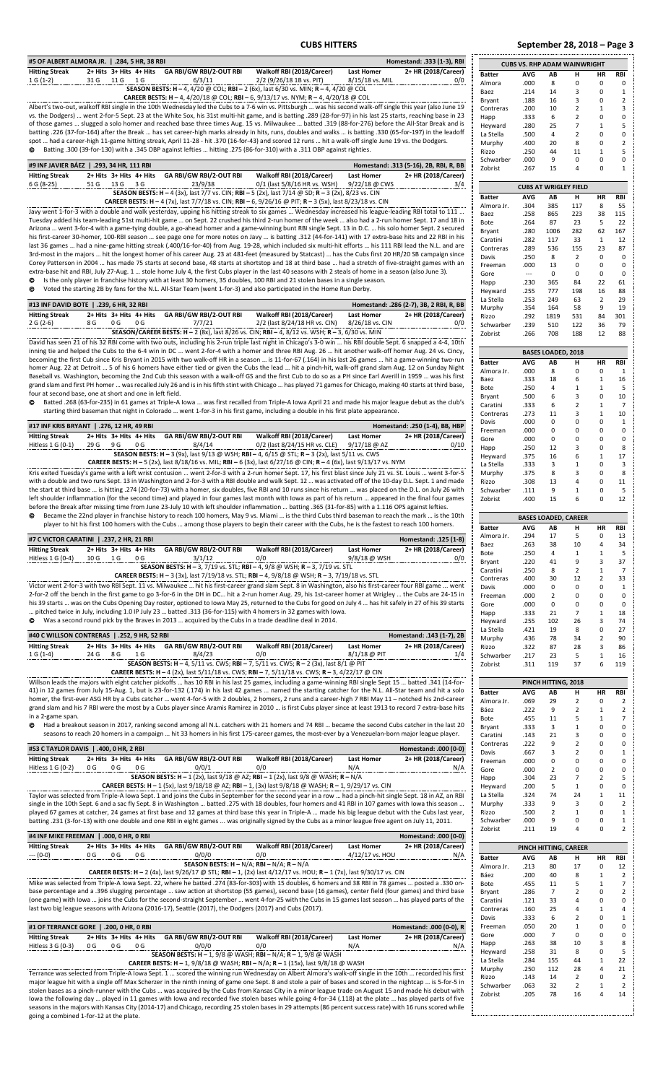#### **CUBS HITTERS September 28, 2018 – Page 3**

| #5 OF ALBERT ALMORA JR.   .284, 5 HR, 38 RBI<br>Homestand: .333 (1-3), RBI<br><b>Hitting Streak</b><br>2+ Hits 3+ Hits 4+ Hits GA RBI/GW RBI/2-OUT RBI<br>2+ HR (2018/Career)<br>Walkoff RBI (2018/Career)<br><b>Last Homer</b>                                                                                   |                         | <b>CUBS VS. RHP ADAM WAINWRIGHT</b> |                           |                                  |                   |                                  |
|-------------------------------------------------------------------------------------------------------------------------------------------------------------------------------------------------------------------------------------------------------------------------------------------------------------------|-------------------------|-------------------------------------|---------------------------|----------------------------------|-------------------|----------------------------------|
| $1 G (1-2)$<br>31 G<br>11 G 1 G<br>6/3/11<br>2/2 (9/26/18 1B vs. PIT)<br>8/15/18 vs. MIL<br>0/0                                                                                                                                                                                                                   | <b>Batter</b><br>Almora | AVG<br>.000                         | АB<br>8                   | н<br>0                           | HR<br>0           | <b>RBI</b><br>$\Omega$           |
| SEASON BESTS: H - 4, 4/20 @ COL; RBI - 2 (6x), last 6/30 vs. MIN; R - 4, 4/20 @ COL                                                                                                                                                                                                                               | Baez                    | .214                                | 14                        | 3                                | 0                 | $\mathbf{1}$                     |
| <b>CAREER BESTS: H - 4, 4/20/18 @ COL; RBI - 6, 9/13/17 vs. NYM; R - 4, 4/20/18 @ COL</b>                                                                                                                                                                                                                         | Bryant                  | .188                                | 16                        | 3                                | 0                 | $\overline{2}$                   |
| Albert's two-out, walkoff RBI single in the 10th Wednesday led the Cubs to a 7-6 win vs. Pittsburgh  was his second walk-off single this year (also June 19                                                                                                                                                       | Contreras               | .200                                | 10                        | $\overline{2}$                   | $\mathbf{1}$      | 3                                |
| vs. the Dodgers)  went 2-for-5 Sept. 23 at the White Sox, his 31st multi-hit game, and is batting .289 (28-for-97) in his last 25 starts, reaching base in 23                                                                                                                                                     | Happ                    | .333                                | 6                         | $\overline{2}$                   | 0                 | $\Omega$                         |
| of those games  slugged a solo homer and reached base three times Aug. 15 vs. Milwaukee  batted .319 (88-for-276) before the All-Star Break and is<br>batting .226 (37-for-164) after the Break  has set career-high marks already in hits, runs, doubles and walks  is batting .330 (65-for-197) in the leadoff  | Heyward                 | .280                                | 25                        | $\overline{7}$                   | $\mathbf{1}$      | 5                                |
| spot  had a career-high 11-game hitting streak, April 11-28 - hit .370 (16-for-43) and scored 12 runs  hit a walk-off single June 19 vs. the Dodgers.                                                                                                                                                             | La Stella               | .500                                | 4<br>20                   | $\overline{2}$                   | 0<br>0            | 0<br>$\overline{2}$              |
| @ Batting .300 (39-for-130) with a .345 OBP against lefties  hitting .275 (86-for-310) with a .311 OBP against righties.                                                                                                                                                                                          | Murphy<br>Rizzo         | .400<br>.250                        | 44                        | 8<br>11                          | $\mathbf{1}$      | 5                                |
|                                                                                                                                                                                                                                                                                                                   | Schwarber               | .000                                | 9                         | 0                                | 0                 | $\Omega$                         |
| #9 INF JAVIER BÁEZ   .293, 34 HR, 111 RBI<br>Homestand: .313 (5-16), 2B, RBI, R, BB                                                                                                                                                                                                                               | Zobrist                 | .267                                | 15                        | 4                                | 0                 | $\mathbf{1}$                     |
| 2+ HR (2018/Career)<br><b>Hitting Streak</b><br>2+ Hits 3+ Hits 4+ Hits<br><b>GA RBI/GW RBI/2-OUT RBI</b><br>Walkoff RBI (2018/Career)<br><b>Last Homer</b><br>23/9/38<br>51 G<br>0/1 (last 5/8/16 HR vs. WSH)                                                                                                    |                         |                                     |                           |                                  |                   |                                  |
| 6 G (8-25)<br>13 G 3 G<br>9/22/18 @ CWS<br>3/4<br>SEASON BESTS: H - 4 (3x), last 7/7 vs. CIN; RBI - 5 (2x), last 7/14 @ SD; R - 3 (2x), 8/23 vs. CIN                                                                                                                                                              |                         |                                     |                           | <b>CUBS AT WRIGLEY FIELD</b>     |                   |                                  |
| <b>CAREER BESTS: H - 4 (7x), last 7/7/18 vs. CIN; RBI - 6, 9/26/16 @ PIT; R - 3 (5x), last 8/23/18 vs. CIN</b>                                                                                                                                                                                                    | <b>Batter</b>           | <b>AVG</b>                          | AB                        | н                                | HR                | <b>RBI</b>                       |
| Javy went 1-for-3 with a double and walk yesterday, upping his hitting streak to six games  Wednesday increased his league-leading RBI total to 111                                                                                                                                                               | Almora Jr.              | .304                                | 385                       | 117                              | 8                 | 55                               |
| Tuesday added his team-leading 51st multi-hit game  on Sept. 22 crushed his third 2-run homer of the week  also had a 2-run homer Sept. 17 and 18 in                                                                                                                                                              | Baez<br>Bote            | .258<br>.264                        | 865<br>87                 | 223<br>23                        | 38<br>5           | 115<br>22                        |
| Arizona  went 3-for-4 with a game-tying double, a go-ahead homer and a game-winning bunt RBI single Sept. 13 in D.C.  his solo homer Sept. 2 secured                                                                                                                                                              | Bryant                  | .280                                | 1006                      | 282                              | 62                | 167                              |
| his first-career 30-homer, 100-RBI season  see page one for more notes on Javy  is batting .312 (44-for-141) with 17 extra-base hits and 22 RBI in his                                                                                                                                                            | Caratini                | .282                                | 117                       | 33                               | $\mathbf{1}$      | 12                               |
| last 36 games  had a nine-game hitting streak (.400/16-for-40) from Aug. 19-28, which included six multi-hit efforts  his 111 RBI lead the N.L. and are                                                                                                                                                           | Contreras               | .289                                | 536                       | 155                              | 23                | 87                               |
| 3rd-most in the majors  hit the longest homer of his career Aug. 23 at 481-feet (measured by Statcast)  has the Cubs first 20 HR/20 SB campaign since<br>Corey Patterson in 2004  has made 75 starts at second base, 48 starts at shortstop and 18 at third base  had a stretch of five-straight games with an    | Davis                   | .250                                | 8                         | $\overline{2}$                   | 0                 | $\Omega$                         |
| extra-base hit and RBI, July 27-Aug. 1  stole home July 4, the first Cubs player in the last 40 seasons with 2 steals of home in a season (also June 3).                                                                                                                                                          | Freeman                 | .000                                | 13                        | 0                                | 0                 | 0                                |
| Is the only player in franchise history with at least 30 homers, 35 doubles, 100 RBI and 21 stolen bases in a single season.<br>©                                                                                                                                                                                 | Gore<br>Happ            | $\hspace{0.05cm} \ldots$<br>.230    | 0<br>365                  | 0<br>84                          | 0<br>22           | $\Omega$<br>61                   |
| Voted the starting 2B by fans for the N.L. All-Star Team (went 1-for-3) and also participated in the Home Run Derby.<br>◎                                                                                                                                                                                         | Heyward                 | .255                                | 777                       | 198                              | 16                | 88                               |
|                                                                                                                                                                                                                                                                                                                   | La Stella               | .253                                | 249                       | 63                               | $\overline{2}$    | 29                               |
| #13 INF DAVID BOTE   .239, 6 HR, 32 RBI<br>Homestand: .286 (2-7), 3B, 2 RBI, R, BB                                                                                                                                                                                                                                | Murphy                  | .354                                | 164                       | 58                               | 9                 | 19                               |
| <b>Hitting Streak</b><br>2+ Hits 3+ Hits 4+ Hits<br>GA RBI/GW RBI/2-OUT RBI<br>Walkoff RBI (2018/Career)<br><b>Last Homer</b><br>2+ HR (2018/Career)                                                                                                                                                              | Rizzo                   | .292                                | 1819                      | 531                              | 84                | 301                              |
| 2 G (2-6)<br>8 G<br>0 <sub>G</sub><br>0 <sub>G</sub><br>7/7/21<br>2/2 (last 8/24/18 HR vs. CIN)<br>8/26/18 vs. CIN<br>0/0<br>SEASON/CAREER BESTS: H - 2 (8x), last 8/26 vs. CIN; RBI - 4, 8/12 vs. WSH; R - 3, 6/30 vs. MIN                                                                                       | Schwarber               | .239                                | 510                       | 122                              | 36                | 79                               |
| David has seen 21 of his 32 RBI come with two outs, including his 2-run triple last night in Chicago's 3-0 win  his RBI double Sept. 6 snapped a 4-4, 10th                                                                                                                                                        | Zobrist                 | .266                                | 708                       | 188                              | 12                | 88                               |
| inning tie and helped the Cubs to the 6-4 win in DC  went 2-for-4 with a homer and three RBI Aug. 26  hit another walk-off homer Aug. 24 vs. Cincy,                                                                                                                                                               |                         |                                     | <b>BASES LOADED, 2018</b> |                                  |                   |                                  |
| becoming the first Cub since Kris Bryant in 2015 with two walk-off HR in a season  is 11-for-67 (.164) in his last 26 games  hit a game-winning two-run                                                                                                                                                           | <b>Batter</b>           | <b>AVG</b>                          | AB                        | н                                | HR                | <b>RBI</b>                       |
| homer Aug. 22 at Detroit  5 of his 6 homers have either tied or given the Cubs the lead  hit a pinch-hit, walk-off grand slam Aug. 12 on Sunday Night                                                                                                                                                             | Almora Jr.              | .000                                | 8                         | 0                                | 0                 | $\mathbf{1}$                     |
| Baseball vs. Washington, becoming the 2nd Cub this season with a walk-off GS and the first Cub to do so as a PH since Earl Averill in 1959  was his first                                                                                                                                                         | Baez                    | .333                                | 18                        | 6                                | $\mathbf{1}$      | 16                               |
| grand slam and first PH homer  was recalled July 26 and is in his fifth stint with Chicago  has played 71 games for Chicago, making 40 starts at third base,                                                                                                                                                      | Bote                    | .250                                | 4                         | 1                                | $\mathbf{1}$      | 5                                |
| four at second base, one at short and one in left field.<br>Batted .268 (63-for-235) in 61 games at Triple-A Iowa  was first recalled from Triple-A Iowa April 21 and made his major league debut as the club's<br>◎                                                                                              | Bryant                  | .500                                | 6                         | 3                                | 0                 | 10                               |
| starting third baseman that night in Colorado  went 1-for-3 in his first game, including a double in his first plate appearance.                                                                                                                                                                                  | Caratini                | .333                                | 6<br>11                   | $\overline{2}$<br>3              | $\mathbf{1}$      | $\overline{7}$                   |
|                                                                                                                                                                                                                                                                                                                   | Contreras<br>Davis      | .273<br>.000                        | 0                         | $\Omega$                         | $\mathbf{1}$<br>0 | 10<br>$\mathbf{1}$               |
| #17 INF KRIS BRYANT   .276, 12 HR, 49 RBI<br>Homestand: .250 (1-4), BB, HBP                                                                                                                                                                                                                                       | Freeman                 | .000                                | 0                         | 0                                | 0                 | $\Omega$                         |
| <b>Hitting Streak</b><br>2+ Hits 3+ Hits 4+ Hits<br>GA RBI/GW RBI/2-OUT RBI<br>Walkoff RBI (2018/Career)<br><b>Last Homer</b><br>2+ HR (2018/Career)                                                                                                                                                              | Gore                    | .000                                | 0                         | $\Omega$                         | 0                 | $\Omega$                         |
| Hitless 1 G (0-1)<br>29 G<br>9 G<br>0 <sub>G</sub><br>8/4/14<br>0/2 (last 8/24/15 HR vs. CLE)<br>$9/17/18$ @ AZ<br>0/10                                                                                                                                                                                           | Happ                    | .250                                | 12                        | 3                                | 0                 | 8                                |
| SEASON BESTS: H - 3 (9x), last 9/13 @ WSH; RBI - 4, 6/15 @ STL; R - 3 (2x), last 5/11 vs. CWS<br>CAREER BESTS: H - 5 (2x), last 8/18/16 vs. MIL; RBI - 6 (3x), last 6/27/16 @ CIN; R - 4 (6x), last 9/13/17 vs. NYM                                                                                               | Heyward                 | .375                                | 16                        | 6                                | $\mathbf 1$       | 17                               |
| Kris exited Tuesday's game with a left wrist contusion  went 2-for-3 with a 2-run homer Sept. 17, his first blast since July 21 vs. St. Louis  went 3-for-5                                                                                                                                                       | La Stella<br>Murphy     | .333<br>.375                        | 3<br>8                    | $\mathbf{1}$<br>3                | 0<br>0            | 3<br>8                           |
| with a double and two runs Sept. 13 in Washington and 2-for-3 with a RBI double and walk Sept. 12  was activated off of the 10-day D.L. Sept. 1 and made                                                                                                                                                          | Rizzo                   | .308                                | 13                        | 4                                | 0                 | 11                               |
| the start at third base  is hitting .274 (20-for-73) with a homer, six doubles, five RBI and 10 runs since his return  was placed on the D.L. on July 26 with                                                                                                                                                     | Schwarber               | .111                                | 9                         | $\mathbf{1}$                     | 0                 | 5                                |
| left shoulder inflammation (for the second time) and played in four games last month with lowa as part of his return  appeared in the final four games                                                                                                                                                            | Zobrist                 | .400                                | 15                        | 6                                | 0                 | 12                               |
| before the Break after missing time from June 23-July 10 with left shoulder inflammation  batting .365 (31-for-85) with a 1.116 OPS against lefties.                                                                                                                                                              |                         |                                     |                           |                                  |                   |                                  |
| Became the 22nd player in franchise history to reach 100 homers, May 9 vs. Miami  is the third Cubs third baseman to reach the mark  is the 10th<br>۵                                                                                                                                                             |                         |                                     |                           | <b>BASES LOADED, CAREER</b>      |                   |                                  |
| player to hit his first 100 homers with the Cubs  among those players to begin their career with the Cubs, he is the fastest to reach 100 homers.                                                                                                                                                                 | <b>Batter</b>           | <b>AVG</b>                          | AB                        | н                                | HR                | <b>RBI</b>                       |
| #7 C VICTOR CARATINI   .237, 2 HR, 21 RBI<br>Homestand: .125 (1-8)                                                                                                                                                                                                                                                | Almora Jr.              | .294                                | 17                        | 5                                | $\Omega$          | 13                               |
| 2+ HR (2018/Career)<br><b>Hitting Streak</b><br>2+ Hits 3+ Hits 4+ Hits<br><b>GA RBI/GW RBI/2-OUT RBI</b><br>Walkoff RBI (2018/Career)<br><b>Last Homer</b>                                                                                                                                                       | Baez<br>Bote            | .263<br>.250                        | 38<br>4                   | 10<br>1                          | 4<br>$\mathbf{1}$ | 34<br>5                          |
| Hitless 1 G (0-4)<br>10 G<br>9/8/18 @ WSH<br>1 G<br>0 G<br>3/1/12<br>0/0<br>0/0                                                                                                                                                                                                                                   | Bryant                  | .220                                | 41                        | 9                                | 3                 | 37                               |
| SEASON BESTS: H - 3, 7/19 vs. STL; RBI - 4, 9/8 @ WSH; R - 3, 7/19 vs. STL                                                                                                                                                                                                                                        | Caratini                | .250                                | 8                         | $\overline{2}$                   | $\mathbf{1}$      | $\overline{7}$                   |
| <b>CAREER BESTS: H</b> - 3 (3x), last 7/19/18 vs. STL; RBI - 4, 9/8/18 @ WSH; R - 3, 7/19/18 vs. STL                                                                                                                                                                                                              | Contreras               | .400                                | 30                        | 12                               | $\overline{2}$    | 33                               |
| Victor went 2-for-3 with two RBI Sept. 11 vs. Milwaukee  hit his first-career grand slam Sept. 8 in Washington, also his first-career four RBI game  went                                                                                                                                                         | Davis                   | .000                                | 0                         | 0                                | 0                 | $\mathbf{1}$                     |
| 2-for-2 off the bench in the first game to go 3-for-6 in the DH in DC hit a 2-run homer Aug. 29, his 1st-career homer at Wrigley  the Cubs are 24-15 in                                                                                                                                                           | Freeman                 | .000                                | $\overline{2}$            | $\Omega$                         | 0                 | $\Omega$                         |
| his 39 starts  was on the Cubs Opening Day roster, optioned to Iowa May 25, returned to the Cubs for good on July 4  has hit safely in 27 of his 39 starts<br>pitched twice in July, including 1.0 IP July 23  batted .313 (36-for-115) with 4 homers in 32 games with lowa.                                      | Gore                    | .000                                | 0<br>21                   | 0<br>7                           | 0<br>$\mathbf{1}$ | $\Omega$<br>18                   |
| © Was a second round pick by the Braves in 2013  acquired by the Cubs in a trade deadline deal in 2014.                                                                                                                                                                                                           | Happ<br>Heyward         | .333<br>.255                        | 102                       | 26                               | 3                 | 74                               |
|                                                                                                                                                                                                                                                                                                                   | La Stella               | .421                                | 19                        | 8                                | 0                 | 27                               |
| #40 C WILLSON CONTRERAS   .252, 9 HR, 52 RBI<br>Homestand: .143 (1-7), 2B                                                                                                                                                                                                                                         | Murphy                  | .436                                | 78                        | 34                               | $\overline{2}$    | 90                               |
| 2+ HR (2018/Career)<br><b>Hitting Streak</b><br>2+ Hits 3+ Hits 4+ Hits GA RBI/GW RBI/2-OUT RBI<br>Walkoff RBI (2018/Career)<br><b>Last Homer</b>                                                                                                                                                                 | Rizzo                   | .322                                | 87                        | 28                               | 3                 | 86                               |
| $1 G (1-4)$<br>24 G<br>8 G<br>8/4/23<br>8/1/18 @ PIT<br>1 G<br>0/0<br>1/4                                                                                                                                                                                                                                         | Schwarber               | .217                                | 23                        | 5                                | $\mathbf{1}$      | 16                               |
| <b>SEASON BESTS: H - 4, 5/11 vs. CWS; RBI - 7, 5/11 vs. CWS; R - 2 (3x), last 8/1 @ PIT</b><br><b>CAREER BESTS: H - 4 (2x), last 5/11/18 vs. CWS; RBI - 7, 5/11/18 vs. CWS; R - 3, 4/22/17 @ CIN</b>                                                                                                              | Zobrist                 | .311                                | 119                       | 37                               | 6                 | 119                              |
| Willson leads the majors with eight catcher pickoffs  has 10 RBI in his last 25 games, including a game-winning RBI single Sept 15  batted .341 (14-for-                                                                                                                                                          |                         |                                     |                           |                                  |                   |                                  |
|                                                                                                                                                                                                                                                                                                                   | Batter                  |                                     | PINCH HITTING, 2018       | н                                |                   | <b>RBI</b>                       |
|                                                                                                                                                                                                                                                                                                                   |                         |                                     |                           |                                  |                   |                                  |
| 41) in 12 games from July 15-Aug. 1, but is 23-for-132 (.174) in his last 42 games  named the starting catcher for the N.L. All-Star team and hit a solo<br>homer, the first-ever ASG HR by a Cubs catcher  went 4-for-5 with 2 doubles, 2 homers, 2 runs and a career-high 7 RBI May 11 - notched his 2nd-career |                         | AVG                                 | AB                        |                                  | HR                |                                  |
| grand slam and his 7 RBI were the most by a Cubs player since Aramis Ramirez in 2010  is first Cubs player since at least 1913 to record 7 extra-base hits                                                                                                                                                        | Almora Jr.<br>Báez      | .069<br>.222                        | 29<br>9                   | $\overline{2}$<br>$\overline{2}$ | 0<br>$\mathbf{1}$ | $\overline{2}$<br>$\overline{2}$ |
| in a 2-game span.                                                                                                                                                                                                                                                                                                 | Bote                    | .455                                | 11                        | 5                                | $\mathbf{1}$      | $\overline{7}$                   |
| O<br>Had a breakout season in 2017, ranking second among all N.L. catchers with 21 homers and 74 RBI  became the second Cubs catcher in the last 20                                                                                                                                                               | Bryant                  | .333                                | 3                         | $\mathbf{1}$                     | 0                 | $\Omega$                         |
| seasons to reach 20 homers in a campaign  hit 33 homers in his first 175-career games, the most-ever by a Venezuelan-born major league player.                                                                                                                                                                    | Caratini                | .143                                | 21                        | 3                                | 0                 | $\Omega$                         |
| #53 C TAYLOR DAVIS   .400, 0 HR, 2 RBI<br>Homestand: .000 (0-0)                                                                                                                                                                                                                                                   | Contreras               | .222                                | 9                         | $\overline{2}$                   | 0                 | $\Omega$                         |
| <b>Hitting Streak</b><br>2+ Hits 3+ Hits 4+ Hits<br><b>GA RBI/GW RBI/2-OUT RBI</b><br>Walkoff RBI (2018/Career)<br><b>Last Homer</b><br>2+ HR (2018/Career)                                                                                                                                                       | Davis<br>Freeman        | .667<br>.000                        | 3<br>0                    | $\overline{2}$<br>0              | 0<br>0            | $\Omega$                         |
| Hitless 1 G (0-2)<br>0 <sub>G</sub><br>N/A<br>0 G<br>0 G<br>0/0/1<br>0/0<br>N/A                                                                                                                                                                                                                                   | Gore                    | .000                                | $\overline{2}$            | $\Omega$                         | 0                 | $\Omega$                         |
| SEASON BESTS: H - 1 (2x), last 9/18 @ AZ; RBI - 1 (2x), last 9/8 @ WASH; R - N/A                                                                                                                                                                                                                                  | Happ                    | .304                                | 23                        | 7                                | $\overline{2}$    | 5                                |
| <b>CAREER BESTS: H</b> - 1 (5x), last $9/18/18$ @ AZ; RBI - 1, (3x) last $9/8/18$ @ WASH; R - 1, $9/29/17$ vs. CIN                                                                                                                                                                                                | Heyward                 | .200                                | 5                         | $\mathbf{1}$                     | 0                 | $\Omega$                         |
| Taylor was selected from Triple-A lowa Sept. 1 and joins the Cubs in September for the second year in a row  had a pinch-hit single Sept. 18 in AZ, an RBI                                                                                                                                                        | La Stella               | .324                                | 74                        | 24                               | $\mathbf{1}$      | 11                               |
| single in the 10th Sept. 6 and a sac fly Sept. 8 in Washington  batted .275 with 18 doubles, four homers and 41 RBI in 107 games with lowa this season                                                                                                                                                            | Murphy                  | .333                                | 9                         | 3<br>$\mathbf{1}$                | 0                 | $\overline{2}$<br>$\mathbf{1}$   |
| played 67 games at catcher, 24 games at first base and 12 games at third base this year in Triple-A  made his big league debut with the Cubs last year,<br>batting .231 (3-for-13) with one double and one RBI in eight games  was originally signed by the Cubs as a minor league free agent on July 11, 2011.   | Rizzo<br>Schwarber      | .500<br>.000                        | $\overline{2}$<br>9       | 0                                | 0<br>0            | $\mathbf{1}$                     |
|                                                                                                                                                                                                                                                                                                                   | Zobrist                 | .211                                | 19                        | 4                                | 0                 | $\overline{2}$                   |
| Homestand: .000 (0-0)<br>#4 INF MIKE FREEMAN   .000, 0 HR, 0 RBI                                                                                                                                                                                                                                                  |                         |                                     |                           |                                  |                   |                                  |
| 2+ HR (2018/Career)<br><b>Hitting Streak</b><br>GA RBI/GW RBI/2-OUT RBI<br>Walkoff RBI (2018/Career)<br>2+ Hits 3+ Hits 4+ Hits<br><b>Last Homer</b>                                                                                                                                                              |                         |                                     |                           | PINCH HITTING, CAREER            |                   |                                  |
| --- (0-0)<br>0 G<br>0 G<br>0 <sub>G</sub><br>0/0/0<br>0/0<br>4/12/17 vs. HOU<br>N/A                                                                                                                                                                                                                               | <b>Batter</b>           | <b>AVG</b>                          | AB                        | н                                | HR                | RBI                              |
| SEASON BESTS: $H - N/A$ ; RBI - N/A; R - N/A                                                                                                                                                                                                                                                                      | Almora Jr.              | .213                                | 80                        | 17                               | 0                 | 12                               |
| <b>CAREER BESTS: H - 2</b> (4x), last $9/26/17$ @ STL; RBI - 1, (2x) last $4/12/17$ vs. HOU; R - 1 (7x), last $9/30/17$ vs. CIN                                                                                                                                                                                   | Báez                    | .200                                | 40                        | 8                                | $\mathbf{1}$      | $\overline{2}$<br>$\overline{7}$ |
| Mike was selected from Triple-A Iowa Sept. 22, where he batted .274 (83-for-303) with 15 doubles, 6 homers and 38 RBI in 78 games  posted a .330 on-<br>base percentage and a .396 slugging percentage  saw action at shortstop (55 games), second base (16 games), center field (four games) and third base      | Bote                    | .455                                | 11<br>7                   | 5<br>$\overline{2}$              | $\mathbf{1}$<br>0 | $\overline{2}$                   |
| (one game) with lowa  joins the Cubs for the second-straight September  went 4-for-25 with the Cubs in 15 games last season  has played parts of the                                                                                                                                                              | Bryant<br>Caratini      | .286<br>.121                        | 33                        | 4                                | 0                 | $\Omega$                         |
| last two big league seasons with Arizona (2016-17), Seattle (2017), the Dodgers (2017) and Cubs (2017).                                                                                                                                                                                                           | Contreras               | .160                                | 25                        | 4                                | $\mathbf{1}$      | $\Delta$                         |
|                                                                                                                                                                                                                                                                                                                   | Davis                   | .333                                | 6                         | 2                                | 0                 | $\mathbf{1}$                     |
| #1 OF TERRANCE GORE   .200, 0 HR, 0 RBI<br>Homestand: .000 (0-0), R                                                                                                                                                                                                                                               | Freeman                 | .050                                | 20                        | $\mathbf{1}$                     | 0                 | $\Omega$                         |
| GA RBI/GW RBI/2-OUT RBI<br>2+ HR (2018/Career)<br><b>Hitting Streak</b><br>2+ Hits 3+ Hits 4+ Hits<br>Walkoff RBI (2018/Career)<br><b>Last Homer</b>                                                                                                                                                              | Gore                    | .000                                | 7                         | 0                                | 0                 | $\Omega$                         |
| Hitless 3 G (0-3)<br>0 G<br>0 G<br>0 G<br>0/0/0<br>0/0<br>N/A<br>N/A                                                                                                                                                                                                                                              | Happ                    | .263                                | 38                        | 10                               | 3                 | 8                                |
| SEASON BESTS: H - 1, 9/8 @ WASH; RBI - N/A; R - 1, 9/8 @ WASH                                                                                                                                                                                                                                                     | Heyward                 | .258                                | 31                        | 8<br>44                          | 0                 | 5                                |
| <b>CAREER BESTS: H - 1, 9/8/18 @ WASH; RBI - N/A; R - 1 (15x), last 9/8/18 @ WASH</b>                                                                                                                                                                                                                             | La Stella<br>Murphy     | .284<br>.250                        | 155<br>112                | 28                               | $\mathbf{1}$<br>4 | 22<br>21                         |
| Terrance was selected from Triple-A Iowa Sept. 1  scored the winning run Wednesday on Albert Almora's walk-off single in the 10th  recorded his first                                                                                                                                                             | Rizzo                   | .143                                | 14                        | 2                                | 0                 | $\overline{2}$                   |
| major league hit with a single off Max Scherzer in the ninth inning of game one Sept. 8 and stole a pair of bases and scored in the nightcap  is 5-for-5 in                                                                                                                                                       | Schwarber               | .063                                | 32                        | $\overline{2}$                   | $\mathbf{1}$      | $\overline{2}$                   |
| stolen bases as a pinch-runner with the Cubs  was acquired by the Cubs from Kansas City in a minor league trade on August 15 and made his debut with<br>lowa the following day  played in 11 games with lowa and recorded five stolen bases while going 4-for-34 (.118) at the plate  has played parts of five    | Zobrist                 | .205                                | 78                        | 16                               | 4                 | 14                               |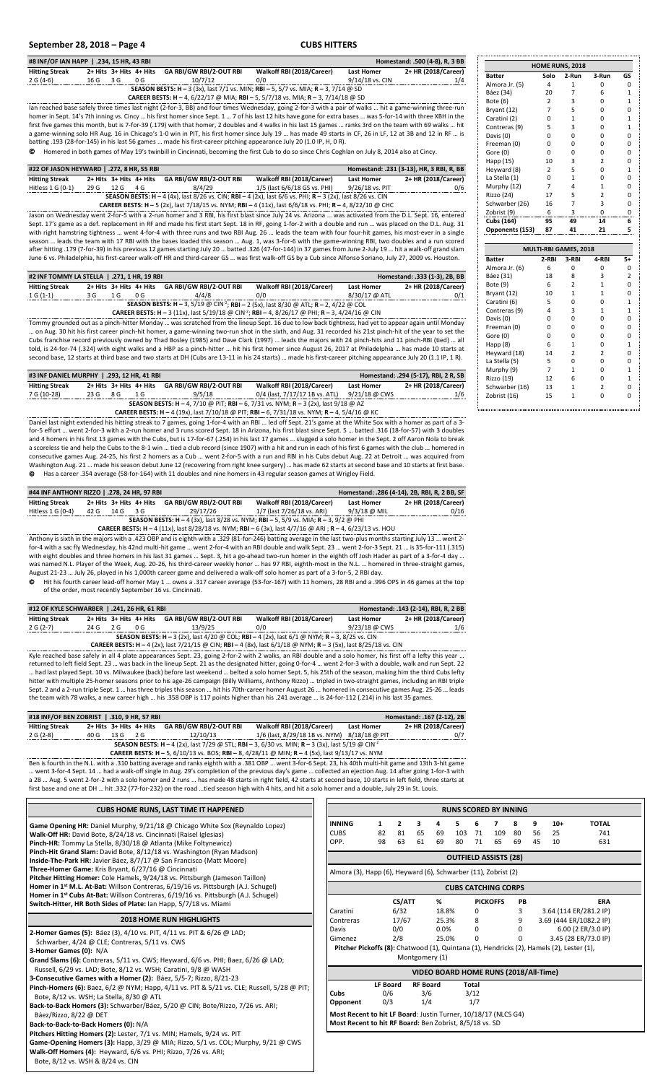### **September 28, 2018 – Page 4 CUBS HITTERS**

| #8 INF/OF IAN HAPP   .234, 15 HR, 43 RBI<br>Homestand: .500 (4-8), R, 3 BB                                                                                |            |                         |     |                                |                                                                                                                                                              |                   |                     |  |  |  |  |  |
|-----------------------------------------------------------------------------------------------------------------------------------------------------------|------------|-------------------------|-----|--------------------------------|--------------------------------------------------------------------------------------------------------------------------------------------------------------|-------------------|---------------------|--|--|--|--|--|
| <b>Hitting Streak</b>                                                                                                                                     |            | 2+ Hits 3+ Hits 4+ Hits |     | <b>GA RBI/GW RBI/2-OUT RBI</b> | Walkoff RBI (2018/Career)                                                                                                                                    | <b>Last Homer</b> | 2+ HR (2018/Career) |  |  |  |  |  |
| $2 G (4-6)$                                                                                                                                               | $16G$ $3G$ |                         | 0 G | 10/7/12                        | 0/0                                                                                                                                                          | 9/14/18 vs. CIN   | 1/4                 |  |  |  |  |  |
|                                                                                                                                                           |            |                         |     |                                | <b>SEASON BESTS: H - 3 (3x). last 7/1 vs. MIN: RBI - 5. 5/7 vs. MIA: R - 3. 7/14 @ SD</b>                                                                    |                   |                     |  |  |  |  |  |
| CAREER BESTS: H - 4, 6/22/17 @ MIA; RBI - 5, 5/7/18 vs. MIA; R - 3, 7/14/18 @ SD                                                                          |            |                         |     |                                |                                                                                                                                                              |                   |                     |  |  |  |  |  |
|                                                                                                                                                           |            |                         |     |                                | lan reached base safely three times last night (2-for-3, BB) and four times Wednesday, going 2-for-3 with a pair of walks  hit a game-winning three-run      |                   |                     |  |  |  |  |  |
|                                                                                                                                                           |            |                         |     |                                | homer in Sept. 14's 7th inning vs. Cincy  his first homer since Sept. 1  7 of his last 12 hits have gone for extra bases  was 5-for-14 with three XBH in the |                   |                     |  |  |  |  |  |
| first five games this month, but is 7-for-39 (.179) with that homer, 2 doubles and 4 walks in his last 15 games  ranks 3rd on the team with 69 walks  hit |            |                         |     |                                |                                                                                                                                                              |                   |                     |  |  |  |  |  |
|                                                                                                                                                           |            |                         |     |                                | a game-winning solo HR Aug. 16 in Chicago's 1-0 win in PIT, his first homer since July 19  has made 49 starts in CF, 26 in LF, 12 at 3B and 12 in RF  is     |                   |                     |  |  |  |  |  |

batting .193 (28-for-145) in his last 56 games … made his first-career pitching appearance July 20 (1.0 IP, H, 0 R). Homered in both games of May 19's twinbill in Cincinnati, becoming the first Cub to do so since Chris Coghlan on July 8, 2014 also at Cincy.

| #22 OF JASON HEYWARD   .272, 8 HR, 55 RBI | Homestand: .231 (3-13), HR, 3 RBI, R, BB                                                                          |      |                         |                                |                              |                   |                     |  |  |  |  |  |
|-------------------------------------------|-------------------------------------------------------------------------------------------------------------------|------|-------------------------|--------------------------------|------------------------------|-------------------|---------------------|--|--|--|--|--|
| <b>Hitting Streak</b>                     |                                                                                                                   |      | 2+ Hits 3+ Hits 4+ Hits | <b>GA RBI/GW RBI/2-OUT RBI</b> | Walkoff RBI (2018/Career)    | <b>Last Homer</b> | 2+ HR (2018/Career) |  |  |  |  |  |
| Hitless $1 \text{ G} (0-1)$               | 29 G                                                                                                              | 12 G | 4 G                     | 8/4/29                         | 1/5 (last 6/6/18 GS vs. PHI) | 9/26/18 vs. PIT   | 0/6                 |  |  |  |  |  |
|                                           | <b>SEASON BESTS: H - 4 (4x), last 8/26 vs. CIN; RBI - 4 (2x), last 6/6 vs. PHI; R - 3 (2x), last 8/26 vs. CIN</b> |      |                         |                                |                              |                   |                     |  |  |  |  |  |
|                                           | <b>CAREER BESTS: H - 5</b> (2x), last 7/18/15 vs. NYM; RBI - 4 (11x), last 6/6/18 vs. PHI; R - 4, 8/22/10 @ CHC   |      |                         |                                |                              |                   |                     |  |  |  |  |  |

Jason on Wednesday went 2-for-5 with a 2-run homer and 3 RBI, his first blast since July 24 vs. Arizona … was activated from the D.L. Sept. 16, entered Sept. 17's game as a def. replacement in RF and made his first start Sept. 18 in RF, going 1-for-2 with a double and run … was placed on the D.L. Aug. 31 with right hamstring tightness … went 4-for-4 with three runs and two RBI Aug. 26 … leads the team with four four-hit games, his most-ever in a single<br>season … leads the team with 17 RBI with the bases loaded this season … June 6 vs. Philadelphia, his first-career walk-off HR and third-career GS … was first walk-off GS by a Cub since Alfonso Soriano, July 27, 2009 vs. Houston.

| #2 INF TOMMY LA STELLA   .271, 1 HR, 19 RBI                                                                                                                                                          |     |              |                               |                                |                           |                   | Homestand: .333 (1-3), 2B, BB |  |  |
|------------------------------------------------------------------------------------------------------------------------------------------------------------------------------------------------------|-----|--------------|-------------------------------|--------------------------------|---------------------------|-------------------|-------------------------------|--|--|
| <b>Hitting Streak</b>                                                                                                                                                                                |     |              | $2+$ Hits $3+$ Hits $4+$ Hits | <b>GA RBI/GW RBI/2-OUT RBI</b> | Walkoff RBI (2018/Career) | <b>Last Homer</b> | 2+ HR (2018/Career)           |  |  |
| $1 G (1-1)$                                                                                                                                                                                          | 3 G | $\mathbf{G}$ | 0 G                           | 4/4/8                          | 0/0                       | 8/30/17 @ ATL     | 0/1                           |  |  |
| <b>SEASON BESTS: H</b> - 3, 5/19 @ CIN <sup>-2</sup> ; RBI - 2 (5x), last 8/30 @ ATL; R - 2, 4/22 @ COL<br>CAREFERECTS: $(44.1 + 5.66)(48.00)(1)$ BBL $(4.0)(26)(37.00)(1)$ BL $(4.0)(34)(45.00)(1)$ |     |              |                               |                                |                           |                   |                               |  |  |

**C C H** – 3 (11x), la ; **RBI –** 4, 8/26/17 @ PHI; **R –** 3, 4/24/16 @ CIN

Tommy grounded out as a pinch-hitter Monday … was scratched from the lineup Sept. 16 due to low back tightness, had yet to appear again until Monday ... on Aug. 30 hit his first career pinch-hit homer, a game-winning two-run shot in the sixth, and Aug. 31 recorded his 21st pinch-hit of the year to set the<br>Cubs franchise record previously owned by Thad Bosley (1985) and told, is 24-for-74 (.324) with eight walks and a HBP as a pinch-hitter … hit his first homer since August 26, 2017 at Philadelphia … has made 10 starts at<br>second base, 12 starts at third base and two starts at DH (Cubs are

| #3 INF DANIEL MURPHY   .293, 12 HR, 41 RBI                                         |      |     |                               |                                |                                                                                             |                   | Homestand: .294 (5-17), RBI, 2 R, SB |  |
|------------------------------------------------------------------------------------|------|-----|-------------------------------|--------------------------------|---------------------------------------------------------------------------------------------|-------------------|--------------------------------------|--|
| <b>Hitting Streak</b>                                                              |      |     | $2+$ Hits $3+$ Hits $4+$ Hits | <b>GA RBI/GW RBI/2-OUT RBI</b> | Walkoff RBI (2018/Career)                                                                   | <b>Last Homer</b> | 2+ HR (2018/Career)                  |  |
| 7 G (10-28)                                                                        | 23 G | 8 G | 1 G                           | 9/5/18                         | 0/4 (last, 7/17/17 1B vs. ATL)                                                              | 9/21/18 @ CWS     | 1/6                                  |  |
| SEASON BESTS: H - 4, 7/10 @ PIT; RBI - 6, 7/31 vs. NYM; R - 3 (2x), last 9/18 @ AZ |      |     |                               |                                |                                                                                             |                   |                                      |  |
|                                                                                    |      |     |                               |                                | CAREER BESTS: H - 4 (19x), last 7/10/18 @ PIT; RBI - 6, 7/31/18 vs. NYM; R - 4, 5/4/16 @ KC |                   |                                      |  |

Daniel last night extended his hitting streak to 7 games, going 1-for-4 with an RBI … led off Sept. 21's game at the White Sox with a homer as part of a 3 for-5 effort … went 2-for-3 with a 2-run homer and 3 runs scored Sept. 18 in Arizona, his first blast since Sept. 5 … batted .316 (18-for-57) with 3 doubles and 4 homers in his first 13 games with the Cubs, but is 17-for-67 (.254) in his last 17 games … slugged a solo homer in the Sept. 2 off Aaron Nola to break<br>a scoreless tie and help the Cubs to the 8-1 win … tied a club re Washington Aug. 21 … made his season debut June 12 (recovering from right knee surgery) … has made 62 starts at second base and 10 starts at first base.<br>© Has a career .354 average (58-for-164) with 11 doubles and nine hom

| #44 INF ANTHONY RIZZO   .278, 24 HR, 97 RBI |      |      |                         |                                                                                                                 |                            |                   | Homestand: .286 (4-14), 2B, RBI, R, 2 BB, SF |
|---------------------------------------------|------|------|-------------------------|-----------------------------------------------------------------------------------------------------------------|----------------------------|-------------------|----------------------------------------------|
| <b>Hitting Streak</b>                       |      |      | 2+ Hits 3+ Hits 4+ Hits | <b>GA RBI/GW RBI/2-OUT RBI</b>                                                                                  | Walkoff RBI (2018/Career)  | <b>Last Homer</b> | 2+ HR (2018/Career)                          |
| Hitless 1 G (0-4)                           | 42 G | 14 G | 3 G                     | 29/17/26                                                                                                        | 1/7 (last 7/26/18 vs. ARI) | 9/3/18 @ MIL      | 0/16                                         |
|                                             |      |      |                         | SEASON BESTS: H - 4 (3x), last 8/28 vs. NYM; RBI - 5, 5/9 vs. MIA; R - 3, 9/2 @ PHI                             |                            |                   |                                              |
|                                             |      |      |                         | <b>CAREER BESTS: H - 4 (11x).</b> last 8/28/18 vs. NYM: RBI - 6 (3x). last 4/7/16 @ ARI: R - 4, 6/23/13 vs. HOU |                            |                   |                                              |

Anthony is sixth in the majors with a .423 OBP and is eighth with a .329 (81-for-246) batting average in the last two-plus months starting July 13 … went 2 for-4 with a sac fly Wednesday, his 42nd multi-hit game … went 2-for-4 with an RBI double and walk Sept. 23 … went 2-for-3 Sept. 21 … is 35-for-111 (.315)<br>with eight doubles and three homers in his last 31 games … Sept. 3, was named N.L. Player of the Week, Aug. 20-26, his third-career weekly honor … has 97 RBI, eighth-most in the N.L. … homered in three-straight games,

August 21-23 … July 26, played in his 1,000th career game and delivered a walk-off solo homer as part of a 3-for-5, 2 RBI day.<br>© Hit his fourth career lead-off homer May 1 … owns a .317 career average (53-for-167) with 11 of the order, most recently September 16 vs. Cincinnati.

| #12 OF KYLE SCHWARBER   .241, 26 HR, 61 RBI                                                         |      |  |                               |                                                                                                                        |                           |                   | Homestand: .143 (2-14). RBI. R. 2 BB |  |
|-----------------------------------------------------------------------------------------------------|------|--|-------------------------------|------------------------------------------------------------------------------------------------------------------------|---------------------------|-------------------|--------------------------------------|--|
| <b>Hitting Streak</b>                                                                               |      |  | $2+$ Hits $3+$ Hits $4+$ Hits | <b>GA RBI/GW RBI/2-OUT RBI</b>                                                                                         | Walkoff RBI (2018/Career) | <b>Last Homer</b> | 2+ HR (2018/Career)                  |  |
| 2 G (2-7)                                                                                           | 24 G |  | በ G                           | 13/9/25                                                                                                                | 0/0                       | $9/23/18$ @ CWS   | 1/6                                  |  |
| <b>SEASON BESTS: H - 3 (2x), last 4/20 @ COL; RBI - 4 (2x), last 6/1 @ NYM; R - 3, 8/25 vs. CIN</b> |      |  |                               |                                                                                                                        |                           |                   |                                      |  |
|                                                                                                     |      |  |                               | <b>CAREER BESTS: H - 4 (2x), last 7/21/15 @ CIN; RBI - 4 (8x), last 6/1/18 @ NYM; R - 3 (5x), last 8/25/18 vs. CIN</b> |                           |                   |                                      |  |

Kyle reached base safely in all 4 plate appearances Sept. 23, going 2-for-2 with 2 walks, an RBI double and a solo homer, his first off a lefty this year returned to left field Sept. 23 ... was back in the lineup Sept. 21 returned to left field Sept. 23 … was back in the lineup Sept. 21 as the designated hitter, going 0-for-4 … went 2-for-3 with a double, walk and run Sept. 22<br>… had last played Sept. 10 vs. Milwaukee (back) before last week hitter with multiple 25-homer seasons prior to his age-26 campaign (Billy Williams, Anthony Rizzo) … tripled in two-straight games, including an RBI triple<br>Sept. 2 and a 2-run triple Sept. 1 … has three triples this season

| #18 INF/OF BEN ZOBRIST   .310, 9 HR, 57 RBI |      |      |                         |                                |                                                                                                                   |                   | Homestand: .167 (2-12), 2B |
|---------------------------------------------|------|------|-------------------------|--------------------------------|-------------------------------------------------------------------------------------------------------------------|-------------------|----------------------------|
| <b>Hitting Streak</b>                       |      |      | 2+ Hits 3+ Hits 4+ Hits | <b>GA RBI/GW RBI/2-OUT RBI</b> | Walkoff RBI (2018/Career)                                                                                         | <b>Last Homer</b> | 2+ HR (2018/Career)        |
| $2 G (2-8)$                                 | 40 G | 13 G | - 2 G                   | 12/10/13                       | 1/6 (last, 8/29/18 1B vs. NYM) 8/18/18 @ PIT                                                                      |                   | 0/7                        |
|                                             |      |      |                         |                                | <b>SEASON BESTS: H - 4 (2x), last 7/29 @ STL; RBI - 3, 6/30 vs. MIN; R - 3 (3x), last 5/19 @ CIN<sup>-2</sup></b> |                   |                            |
|                                             |      |      |                         |                                | <b>CARFER BESTS: H - 5 6/10/13 vs. BOS: RBI - 8 4/28/11 @ MIN: R - 4 (5x) last 9/13/17 vs. NYM</b>                |                   |                            |

Ben is fourth in the N.L. with a .310 batting average and ranks eighth with a .381 OBP … went 3-for-6 Sept. 23, his 40th multi-hit game and 13th 3-hit game ... went 3-for-4 Sept. 14 ... had a walk-off single in Aug. 29's completion of the previous day's game ... collected an ejection Aug. 14 after going 1-for-3 with<br>a 2B ... Aug. 5 went 2-for-2 with a solo homer and 2 runs .. first base and one at DH ... hit .332 (77-for-232) on the road ...tied season high with 4 hits, and hit a solo

| CUBS HOME RUNS, LAST TIME IT HAPPENED                                                                                                                                                                                                                                                                                                                                                                                                                                                                                                                                                                                                                                                                                                                                                  |
|----------------------------------------------------------------------------------------------------------------------------------------------------------------------------------------------------------------------------------------------------------------------------------------------------------------------------------------------------------------------------------------------------------------------------------------------------------------------------------------------------------------------------------------------------------------------------------------------------------------------------------------------------------------------------------------------------------------------------------------------------------------------------------------|
| Game Opening HR: Daniel Murphy, 9/21/18 @ Chicago White Sox (Reynaldo Lopez)<br>Walk-Off HR: David Bote, 8/24/18 vs. Cincinnati (Raisel Iglesias)<br>Pinch-HR: Tommy La Stella, 8/30/18 @ Atlanta (Mike Foltynewicz)<br>Pinch-Hit Grand Slam: David Bote, 8/12/18 vs. Washington (Ryan Madson)<br>Inside-The-Park HR: Javier Báez, 8/7/17 @ San Francisco (Matt Moore)<br>Three-Homer Game: Kris Bryant, 6/27/16 @ Cincinnati<br>Pitcher Hitting Homer: Cole Hamels, 9/24/18 vs. Pittsburgh (Jameson Taillon)<br>Homer in 1 <sup>st</sup> M.L. At-Bat: Willson Contreras, 6/19/16 vs. Pittsburgh (A.J. Schugel)<br>Homer in 1 <sup>st</sup> Cubs At-Bat: Willson Contreras, 6/19/16 vs. Pittsburgh (A.J. Schugel)<br>Switch-Hitter, HR Both Sides of Plate: Ian Happ, 5/7/18 vs. Miami |
| <b>2018 HOME RUN HIGHLIGHTS</b>                                                                                                                                                                                                                                                                                                                                                                                                                                                                                                                                                                                                                                                                                                                                                        |
| <b>2-Homer Games (5):</b> Báez (3), 4/10 vs. PIT, 4/11 vs. PIT & 6/26 @ LAD;<br>Schwarber, 4/24 @ CLE; Contreras, 5/11 vs. CWS<br>3-Homer Games (0): N/A<br>Grand Slams (6): Contreras, $5/11$ vs. CWS; Heyward, $6/6$ vs. PHI; Baez, $6/26$ @ LAD;<br>Russell, 6/29 vs. LAD; Bote, 8/12 vs. WSH; Caratini, 9/8 @ WASH                                                                                                                                                                                                                                                                                                                                                                                                                                                                 |
| 3-Consecutive Games with a Homer (2): Báez, 5/5-7; Rizzo, 8/21-23                                                                                                                                                                                                                                                                                                                                                                                                                                                                                                                                                                                                                                                                                                                      |
| Pinch-Homers (6): Baez, 6/2 @ NYM; Happ, 4/11 vs. PIT & 5/21 vs. CLE; Russell, 5/28 @ PIT;<br>Bote, 8/12 vs. WSH; La Stella, 8/30 @ ATL                                                                                                                                                                                                                                                                                                                                                                                                                                                                                                                                                                                                                                                |
| Back-to-Back Homers (3): Schwarber/Báez, 5/20 @ CIN; Bote/Rizzo, 7/26 vs. ARI;<br>Báez/Rizzo, 8/22 @ DET                                                                                                                                                                                                                                                                                                                                                                                                                                                                                                                                                                                                                                                                               |
| Back-to-Back-to-Back Homers (0): N/A                                                                                                                                                                                                                                                                                                                                                                                                                                                                                                                                                                                                                                                                                                                                                   |
| Pitchers Hitting Homers (2): Lester, 7/1 vs. MIN; Hamels, 9/24 vs. PIT<br>Game-Opening Homers (3): Happ, 3/29 @ MIA; Rizzo, 5/1 vs. COL; Murphy, 9/21 @ CWS<br>Walk-Off Homers (4): Heyward, 6/6 vs. PHI; Rizzo, 7/26 vs. ARI;                                                                                                                                                                                                                                                                                                                                                                                                                                                                                                                                                         |

Bote, 8/12 vs. WSH & 8/24 vs. CIN

| 5<br>9<br>$\mathbf{1}$<br>$\overline{2}$<br>3<br>6<br>7<br>8<br>$10+$<br>4<br>103<br>109<br>25<br>82<br>81<br>65<br>69<br>71<br>80<br>56<br>65<br>98<br>63<br>61<br>69<br>80<br>71<br>69<br>45<br>10<br><b>OUTFIELD ASSISTS (28)</b><br>Almora (3), Happ (6), Heyward (6), Schwarber (11), Zobrist (2)<br><b>CUBS CATCHING CORPS</b><br>CS/ATT<br>%<br><b>PICKOFFS</b><br><b>PB</b><br>6/32<br>3<br>18.8%<br>3.64 (114 ER/281.2 IP)<br>0<br>9<br>3.69 (444 ER/1082.2 IP)<br>17/67<br>25.3%<br>8<br>6.00 (2 ER/3.0 IP)<br>0/0<br>$\Omega$<br>0.0%<br>$\Omega$<br>3.45 (28 ER/73.0 IP)<br>2/8<br>25.0%<br>$\Omega$<br>$\Omega$<br>Pitcher Pickoffs (8): Chatwood (1), Quintana (1), Hendricks (2), Hamels (2), Lester (1),<br>Montgomery (1)<br>VIDEO BOARD HOME RUNS (2018/All-Time)<br><b>RF Board</b><br><b>LF Board</b><br>Total<br>0/6<br>3/6<br>3/12<br>1/4 | <b>RUNS SCORED BY INNING</b> |     |  |  |  |  |     |  |  |  |              |
|-----------------------------------------------------------------------------------------------------------------------------------------------------------------------------------------------------------------------------------------------------------------------------------------------------------------------------------------------------------------------------------------------------------------------------------------------------------------------------------------------------------------------------------------------------------------------------------------------------------------------------------------------------------------------------------------------------------------------------------------------------------------------------------------------------------------------------------------------------------------|------------------------------|-----|--|--|--|--|-----|--|--|--|--------------|
|                                                                                                                                                                                                                                                                                                                                                                                                                                                                                                                                                                                                                                                                                                                                                                                                                                                                 | <b>INNING</b>                |     |  |  |  |  |     |  |  |  | <b>TOTAL</b> |
|                                                                                                                                                                                                                                                                                                                                                                                                                                                                                                                                                                                                                                                                                                                                                                                                                                                                 | <b>CUBS</b>                  |     |  |  |  |  |     |  |  |  | 741          |
|                                                                                                                                                                                                                                                                                                                                                                                                                                                                                                                                                                                                                                                                                                                                                                                                                                                                 | OPP.                         |     |  |  |  |  |     |  |  |  | 631          |
|                                                                                                                                                                                                                                                                                                                                                                                                                                                                                                                                                                                                                                                                                                                                                                                                                                                                 |                              |     |  |  |  |  |     |  |  |  |              |
|                                                                                                                                                                                                                                                                                                                                                                                                                                                                                                                                                                                                                                                                                                                                                                                                                                                                 |                              |     |  |  |  |  |     |  |  |  |              |
|                                                                                                                                                                                                                                                                                                                                                                                                                                                                                                                                                                                                                                                                                                                                                                                                                                                                 |                              |     |  |  |  |  |     |  |  |  |              |
|                                                                                                                                                                                                                                                                                                                                                                                                                                                                                                                                                                                                                                                                                                                                                                                                                                                                 |                              |     |  |  |  |  |     |  |  |  | <b>ERA</b>   |
|                                                                                                                                                                                                                                                                                                                                                                                                                                                                                                                                                                                                                                                                                                                                                                                                                                                                 | Caratini                     |     |  |  |  |  |     |  |  |  |              |
|                                                                                                                                                                                                                                                                                                                                                                                                                                                                                                                                                                                                                                                                                                                                                                                                                                                                 | Contreras                    |     |  |  |  |  |     |  |  |  |              |
|                                                                                                                                                                                                                                                                                                                                                                                                                                                                                                                                                                                                                                                                                                                                                                                                                                                                 | Davis                        |     |  |  |  |  |     |  |  |  |              |
|                                                                                                                                                                                                                                                                                                                                                                                                                                                                                                                                                                                                                                                                                                                                                                                                                                                                 | Gimenez                      |     |  |  |  |  |     |  |  |  |              |
|                                                                                                                                                                                                                                                                                                                                                                                                                                                                                                                                                                                                                                                                                                                                                                                                                                                                 |                              |     |  |  |  |  |     |  |  |  |              |
|                                                                                                                                                                                                                                                                                                                                                                                                                                                                                                                                                                                                                                                                                                                                                                                                                                                                 |                              |     |  |  |  |  |     |  |  |  |              |
|                                                                                                                                                                                                                                                                                                                                                                                                                                                                                                                                                                                                                                                                                                                                                                                                                                                                 |                              |     |  |  |  |  |     |  |  |  |              |
|                                                                                                                                                                                                                                                                                                                                                                                                                                                                                                                                                                                                                                                                                                                                                                                                                                                                 |                              |     |  |  |  |  |     |  |  |  |              |
|                                                                                                                                                                                                                                                                                                                                                                                                                                                                                                                                                                                                                                                                                                                                                                                                                                                                 | Cubs                         |     |  |  |  |  |     |  |  |  |              |
|                                                                                                                                                                                                                                                                                                                                                                                                                                                                                                                                                                                                                                                                                                                                                                                                                                                                 | Opponent                     | 0/3 |  |  |  |  | 1/7 |  |  |  |              |
| Most Recent to hit LF Board: Justin Turner, 10/18/17 (NLCS G4)                                                                                                                                                                                                                                                                                                                                                                                                                                                                                                                                                                                                                                                                                                                                                                                                  |                              |     |  |  |  |  |     |  |  |  |              |

|                       |                | HOME RUNS, 2018 |                            |              |  |  |  |  |  |
|-----------------------|----------------|-----------------|----------------------------|--------------|--|--|--|--|--|
| <b>Batter</b>         | Solo           | 2-Run           | 3-Run                      | GS           |  |  |  |  |  |
| Almora Jr. (5)        | 4              | 1               | 0                          | 0            |  |  |  |  |  |
| Báez (34)             | 20             | 7               | 6                          | $\mathbf{1}$ |  |  |  |  |  |
| Bote (6)              | 2              | 3               | 0                          | $\mathbf{1}$ |  |  |  |  |  |
| Bryant (12)           | 7              | 5               | 0                          | 0            |  |  |  |  |  |
| Caratini (2)          | 0              | 1               | 0                          | 1            |  |  |  |  |  |
| Contreras (9)         | 5              | 3               | 0                          | 1            |  |  |  |  |  |
| Davis (0)             | 0              | 0               | 0                          | 0            |  |  |  |  |  |
| Freeman (0)           | 0              | 0               | 0                          | 0            |  |  |  |  |  |
| Gore (0)              | 0              | $\Omega$        | $\Omega$                   | 0            |  |  |  |  |  |
| Happ (15)             | 10             | 3               | $\overline{2}$             | 0            |  |  |  |  |  |
| Heyward (8)           | $\overline{2}$ | 5               | 0                          | $\mathbf{1}$ |  |  |  |  |  |
| La Stella (1)         | $\Omega$       | $\mathbf{1}$    | 0                          | 0            |  |  |  |  |  |
| Murphy (12)           | $\overline{7}$ | 4               | $\mathbf{1}$               | 0            |  |  |  |  |  |
| Rizzo (24)            | 17             | 5               | $\overline{2}$             | 0            |  |  |  |  |  |
| Schwarber (26)        | 16             | 7               | 3                          | 0            |  |  |  |  |  |
| Zobrist (9)           | 6              | 3               | 0                          | 0            |  |  |  |  |  |
| Cubs (164)            | 95             | 49              | 14                         | 6            |  |  |  |  |  |
| Opponents (153)       | 87             | 41              | 21                         | 5            |  |  |  |  |  |
| MULTI-RBI GAMES, 2018 |                |                 |                            |              |  |  |  |  |  |
|                       |                |                 |                            |              |  |  |  |  |  |
| <b>Batter</b>         | 2-RBI          | 3-RBI           | 4-RBI                      | $5+$         |  |  |  |  |  |
| Almora Jr. (6)        | 6              | 0               | 0                          | 0            |  |  |  |  |  |
| Báez (31)             | 18             | 8               | 3                          | 2            |  |  |  |  |  |
| Bote (9)              | 6              | $\overline{2}$  | 1                          | 0            |  |  |  |  |  |
| Bryant (12)           | 10             | 1               | $\mathbf{1}$               | 0            |  |  |  |  |  |
| Caratini (6)          | 5              | 0               | 0                          | 1            |  |  |  |  |  |
| Contreras (9)         | 4              | 3               | 1                          | $\mathbf{1}$ |  |  |  |  |  |
| Davis (0)             | 0              | 0               | 0                          | 0            |  |  |  |  |  |
| Freeman (0)           | 0              | 0               | 0                          | 0            |  |  |  |  |  |
| Gore (0)              | 0              | 0               | 0                          | 0            |  |  |  |  |  |
| Happ (8)              | 6              | 1               | 0                          | $\mathbf{1}$ |  |  |  |  |  |
| Heyward (18)          | 14<br>5        | $\overline{2}$  | $\overline{2}$<br>$\Omega$ | 0            |  |  |  |  |  |

La Stella (5)  $\begin{array}{cccc} 5 & 0 & 0 & 0 \\ \text{Murbrb}(9) & 7 & 1 & 0 & 1 \end{array}$ Murphy (9) 7 1 0 1<br>
Rizzo (19) 12 6 0 1<br>
Schwarber (16) 13 1 2 0 Rizzo (19) 12 6 0 1 Schwarber (16) 13 1 2 0 Zobrist (16) 15 1 0 0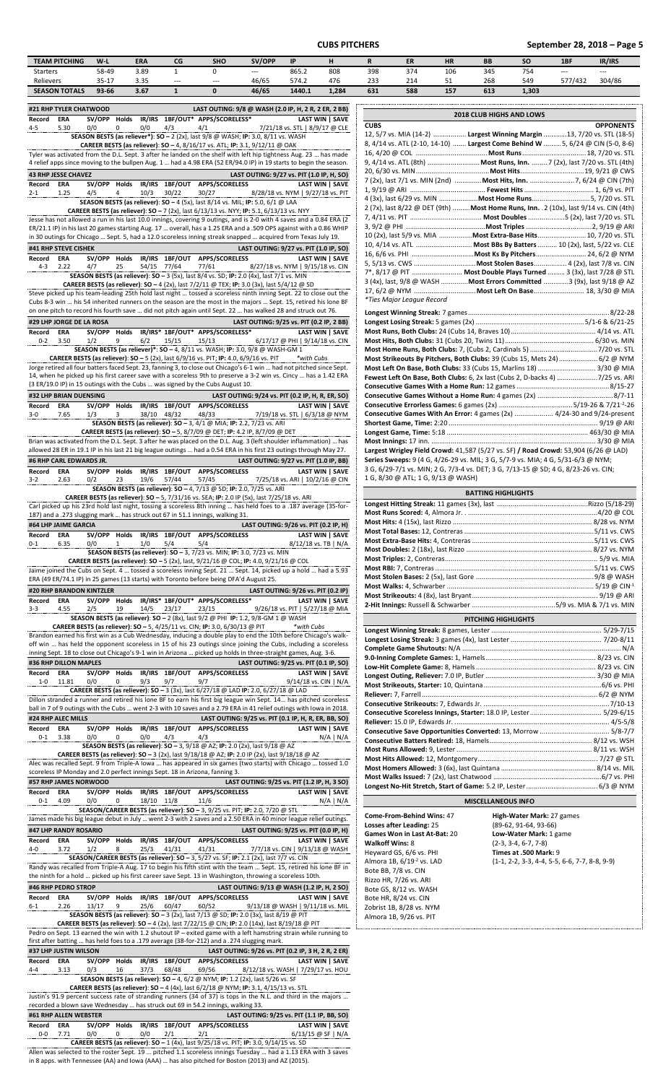**CUBS PITCHERS September 28, 2018 – Page 5**

| <b>TEAM PITCHING</b> | $W-I$     | ERA                   | CG    | <b>SHO</b> | SV/OPP | IP     |       |     | ER                        | <b>HR</b> | <b>BB</b> | SΟ         | 1BF     | IR/IRS |
|----------------------|-----------|-----------------------|-------|------------|--------|--------|-------|-----|---------------------------|-----------|-----------|------------|---------|--------|
| Starters             | 58-49     | 3.89                  |       |            | $---$  | 865.2  | 808   | 398 | 374                       | 106       | 345       | -- -<br>ىر | $---$   | $---$  |
| Relievers            | $35 - 17$ | $\sim$ $\sim$<br>3.35 | $---$ | $---$      | 46/65  | 574.2  | 476   | 233 | $\sim$<br>21 <sup>2</sup> | ـ ب       | 268       | 549        | 577/432 | 304/86 |
| <b>SEASON TOTALS</b> | 93-66     | 3.67                  |       |            | 46/65  | 1440.1 | 1.284 | 631 | 588                       | 157       | 613       | 1,303      |         |        |

| Starters                         |                      | 58-49           |              | 3.89         | 1                       | 0                                                                                  |                                                                                                                                                                                                                                           | 865.2                                 | 808                    | З                   |
|----------------------------------|----------------------|-----------------|--------------|--------------|-------------------------|------------------------------------------------------------------------------------|-------------------------------------------------------------------------------------------------------------------------------------------------------------------------------------------------------------------------------------------|---------------------------------------|------------------------|---------------------|
| Relievers                        | <b>SEASON TOTALS</b> | 35-17<br>93-66  |              | 3.35<br>3.67 | ---<br>1                | ---<br>0                                                                           | 46/65<br>46/65                                                                                                                                                                                                                            | 574.2<br>1440.1                       | 476<br>1,284           | 2<br>6              |
|                                  |                      |                 |              |              |                         |                                                                                    |                                                                                                                                                                                                                                           |                                       |                        |                     |
| #21 RHP TYLER CHATWOOD<br>Record | ERA                  | SV/OPP          | Holds        |              |                         | IR/IRS 1BF/OUT* APPS/SCORELESS*                                                    | LAST OUTING: 9/8 @ WASH (2.0 IP, H, 2 R, 2 ER, 2 BB)                                                                                                                                                                                      |                                       | <b>LAST WIN   SAVE</b> |                     |
| 4-5                              | 5.30                 | 0/0             |              | 0/0          | 4/3                     | 4/1                                                                                |                                                                                                                                                                                                                                           | 7/21/18 vs. STL   8/9/17 @ CLE        |                        | C١                  |
|                                  |                      |                 |              |              |                         |                                                                                    | SEASON BESTS (as reliever*): SO - 2 (2x), last 9/8 @ WASH; IP: 3.0, 8/11 vs. WASH                                                                                                                                                         |                                       |                        | 12<br>8,            |
|                                  |                      |                 |              |              |                         |                                                                                    | <b>CAREER BESTS (as reliever): SO - 4, 8/16/17 vs. ATL; IP: 3.1, 9/12/11 @ OAK</b><br>Tyler was activated from the D.L. Sept. 3 after he landed on the shelf with left hip tightness Aug. 23  has made                                    |                                       |                        | 16                  |
|                                  |                      |                 |              |              |                         |                                                                                    | 4 relief apps since moving to the bullpen Aug. 1  had a 4.98 ERA (52 ER/94.0 IP) in 19 starts to begin the season.                                                                                                                        |                                       |                        | 9,                  |
| <b>43 RHP JESSE CHAVEZ</b>       |                      |                 |              |              |                         |                                                                                    | LAST OUTING: 9/27 vs. PIT (1.0 IP, H, SO)                                                                                                                                                                                                 |                                       |                        | 20<br>7             |
| Record<br>$2 - 1$                | ERA<br>1.25          | SV/OPP<br>4/5   | <b>Holds</b> | 10/3         | 30/22                   | IR/IRS 1BF/OUT APPS/SCORELESS<br>30/27                                             |                                                                                                                                                                                                                                           | 8/28/18 vs. NYM   9/27/18 vs. PIT     | <b>LAST WIN   SAVE</b> | 1,                  |
|                                  |                      |                 |              |              |                         |                                                                                    | SEASON BESTS (as reliever): SO - 4 (5x), last 8/14 vs. MIL; IP: 5.0, 6/1 @ LAA                                                                                                                                                            |                                       |                        | 4<br>$\overline{2}$ |
|                                  |                      |                 |              |              |                         |                                                                                    | <b>CAREER BESTS (as reliever): SO - 7 (2x), last 6/13/13 vs. NYY; IP: 5.1, 6/13/13 vs. NYY</b><br>Jesse has not allowed a run in his last 10.0 innings, covering 9 outings, and is 2-0 with 4 saves and a 0.84 ERA (2                     |                                       |                        | 7,                  |
|                                  |                      |                 |              |              |                         |                                                                                    | ER/21.1 IP) in his last 20 games starting Aug. 17  overall, has a 1.25 ERA and a .509 OPS against with a 0.86 WHIP                                                                                                                        |                                       |                        | 3,<br>10            |
| #41 RHP STEVE CISHEK             |                      |                 |              |              |                         |                                                                                    | in 30 outings for Chicago  Sept. 5, had a 12.0 scoreless inning streak snapped  acquired from Texas July 19.<br>LAST OUTING: 9/27 vs. PIT (1.0 IP, SO)                                                                                    |                                       |                        | 10                  |
| Record                           | ERA                  | SV/OPP          | Holds        | IR/IRS       |                         | 1BF/OUT APPS/SCORELESS                                                             |                                                                                                                                                                                                                                           |                                       | <b>LAST WIN   SAVE</b> | 16                  |
| 4-3                              | 2.22                 | 4/7             | 25           | 54/15        | 77/64                   | 77/61                                                                              |                                                                                                                                                                                                                                           | 8/27/18 vs. NYM   9/15/18 vs. CIN     |                        | 5,<br>$7^*$         |
|                                  |                      |                 |              |              |                         |                                                                                    | SEASON BESTS (as reliever): SO - 3 (5x), last 8/4 vs. SD; IP: 2.0 (4x), last 7/1 vs. MIN<br><b>CAREER BESTS (as reliever): SO - 4 (2x), last 7/2/11 @ TEX; IP: 3.0 (3x), last 5/4/12 @ SD</b>                                             |                                       |                        | 3                   |
|                                  |                      |                 |              |              |                         |                                                                                    | Steve picked up his team-leading 25th hold last night  tossed a scoreless ninth inning Sept. 22 to close out the                                                                                                                          |                                       |                        | 17<br>*7            |
|                                  |                      |                 |              |              |                         |                                                                                    | Cubs 8-3 win  his 54 inherited runners on the season are the most in the majors  Sept. 15, retired his lone BF<br>on one pitch to record his fourth save  did not pitch again until Sept. 22  has walked 28 and struck out 76.            |                                       |                        |                     |
| #29 LHP JORGE DE LA ROSA         |                      |                 |              |              |                         |                                                                                    | LAST OUTING: 9/25 vs. PIT (0.2 IP, 2 BB)                                                                                                                                                                                                  |                                       |                        | Lc<br>Lo            |
| Record                           | <b>ERA</b>           | SV/OPP Holds    |              |              |                         | IR/IRS* 1BF/OUT* APPS/SCORELESS*                                                   |                                                                                                                                                                                                                                           |                                       | <b>LAST WIN   SAVE</b> | м                   |
| $0 - 2$                          | 3.50                 | 1/2             | 9            | 6/2          | 15/15                   | 15/13                                                                              | SEASON BESTS (as reliever)*: SO - 4, 8/11 vs. WASH; IP: 3.0, 9/8 @ WASH-GM 1                                                                                                                                                              | 6/17/17 @ PHI   9/14/18 vs. CIN       |                        | М<br>M              |
|                                  |                      |                 |              |              |                         |                                                                                    | <b>CAREER BESTS (as reliever): SO - 5 (2x), last <math>6/9/16</math> vs. PIT; IP: 4.0, <math>6/9/16</math> vs. PIT</b>                                                                                                                    | *with Cubs                            |                        | М                   |
|                                  |                      |                 |              |              |                         |                                                                                    | Jorge retired all four batters faced Sept. 23, fanning 3, to close out Chicago's 6-1 win  had not pitched since Sept.<br>14, when he picked up his first career save with a scoreless 9th to preserve a 3-2 win vs. Cincy  has a 1.42 ERA |                                       |                        | M                   |
|                                  |                      |                 |              |              |                         | (3 ER/19.0 IP) in 15 outings with the Cubs  was signed by the Cubs August 10.      |                                                                                                                                                                                                                                           |                                       |                        | Fe<br>С             |
| #32 LHP BRIAN DUENSING           |                      |                 |              |              |                         |                                                                                    | LAST OUTING: 9/24 vs. PIT (0.2 IP, H, R, ER, SO)                                                                                                                                                                                          |                                       |                        | C                   |
| Record                           | ERA                  | SV/OPP Holds    |              |              |                         | IR/IRS 1BF/OUT APPS/SCORELESS                                                      |                                                                                                                                                                                                                                           |                                       | <b>LAST WIN   SAVE</b> | С                   |
| $3 - 0$                          | 7.65                 | 1/3             | 3            |              | 38/10 48/32             | 48/33                                                                              | SEASON BESTS (as reliever): SO - 3, 4/1 @ MIA; IP: 2.2, 7/23 vs. ARI                                                                                                                                                                      | 7/19/18 vs. STL   6/3/18 @ NYM        |                        | С<br>Sŀ             |
|                                  |                      |                 |              |              |                         |                                                                                    | <b>CAREER BESTS (as reliever): SO - 5, 8/7/09 @ DET; IP: 4.2 IP, 8/7/09 @ DET</b>                                                                                                                                                         |                                       |                        | Lo                  |
|                                  |                      |                 |              |              |                         |                                                                                    | Brian was activated from the D.L. Sept. 3 after he was placed on the D.L. Aug. 3 (left shoulder inflammation)  has<br>allowed 28 ER in 19.1 IP in his last 21 big league outings  had a 0.54 ERA in his first 23 outings through May 27.  |                                       |                        | M<br>La             |
| #6 RHP CARL EDWARDS JR.          |                      |                 |              |              |                         |                                                                                    | LAST OUTING: 9/27 vs. PIT (1.0 IP, BB)                                                                                                                                                                                                    |                                       |                        | Sε                  |
| Record                           | ERA                  | SV/OPP          | Holds        |              |                         | IR/IRS 1BF/OUT APPS/SCORELESS                                                      |                                                                                                                                                                                                                                           |                                       | LAST WIN   SAVE        | 3                   |
| $3 - 2$                          | 2.63                 | 0/2             | 23           | 19/6         | 57/44                   | 57/45                                                                              | SEASON BESTS (as reliever): SO - 4, 7/13 @ SD; IP: 2.0, 7/25 vs. ARI                                                                                                                                                                      | 7/25/18 vs. ARI   10/2/16 @ CIN       |                        | $\mathbf{1}$        |
|                                  |                      |                 |              |              |                         |                                                                                    | CAREER BESTS (as reliever): SO - 5, 7/31/16 vs. SEA; IP: 2.0 IP (5x), last 7/25/18 vs. ARI                                                                                                                                                |                                       |                        |                     |
|                                  |                      |                 |              |              |                         | 187) and a .273 slugging mark  has struck out 67 in 51.1 innings, walking 31.      | Carl picked up his 23rd hold last night, tossing a scoreless 8th inning  has held foes to a .187 average (35-for-                                                                                                                         |                                       |                        | Lo<br>М             |
| #64 LHP JAIME GARCIA             |                      |                 |              |              |                         |                                                                                    |                                                                                                                                                                                                                                           | LAST OUTING: 9/26 vs. PIT (0.2 IP, H) |                        | M                   |
| Record                           | ERA                  | SV/OPP Holds    |              |              |                         | IR/IRS 1BF/OUT APPS/SCORELESS                                                      |                                                                                                                                                                                                                                           |                                       | <b>LAST WIN   SAVE</b> | м                   |
| 0-1                              | 6.35                 | 0/0             | 1            | 1/0          | 5/4                     | 5/4                                                                                | SEASON BESTS (as reliever): SO - 3, 7/23 vs. MIN; IP: 3.0, 7/23 vs. MIN                                                                                                                                                                   | $8/12/18$ vs. TB   N/A                |                        | м<br>М              |
|                                  |                      |                 |              |              |                         |                                                                                    | <b>CAREER BESTS (as reliever): SO - 5 (2x), last, 9/21/16 @ COL; IP: 4.0, 9/21/16 @ COL</b>                                                                                                                                               |                                       |                        | М                   |
|                                  |                      |                 |              |              |                         |                                                                                    | Jaime joined the Cubs on Sept. 4  tossed a scoreless inning Sept. 21  Sept. 14, picked up a hold  had a 5.93                                                                                                                              |                                       |                        | M<br>M              |
| #20 RHP BRANDON KINTZLER         |                      |                 |              |              |                         |                                                                                    | ERA (49 ER/74.1 IP) in 25 games (13 starts) with Toronto before being DFA'd August 25.                                                                                                                                                    | LAST OUTING: 9/26 vs. PIT (0.2 IP)    |                        | M                   |
| Record                           | ERA                  | SV/OPP          | Holds        |              |                         | IR/IRS* 1BF/OUT* APPS/SCORELESS*                                                   |                                                                                                                                                                                                                                           |                                       | LAST WIN   SAVE        | М                   |
| $3 - 3$                          | 4.55                 | 2/5             | 19           | 14/5         | 23/17                   | 23/15                                                                              |                                                                                                                                                                                                                                           | 9/26/18 vs. PIT   5/27/18 @ MIA       |                        | $\mathbf{2}$        |
|                                  |                      |                 |              |              |                         | <b>CAREER BESTS (as reliever): SO - 5, 4/25/11 vs. CIN; IP: 3.0, 6/30/13 @ PIT</b> | SEASON BESTS (as reliever): SO - 2 (8x), last 9/2 @ PHI IP: 1.2, 9/8-GM 1 @ WASH                                                                                                                                                          | *with Cubs                            |                        |                     |
|                                  |                      |                 |              |              |                         |                                                                                    | Brandon earned his first win as a Cub Wednesday, inducing a double play to end the 10th before Chicago's walk-                                                                                                                            |                                       |                        | Lc<br>Lo            |
|                                  |                      |                 |              |              |                         |                                                                                    | off win  has held the opponent scoreless in 15 of his 23 outings since joining the Cubs, including a scoreless<br>inning Sept. 18 to close out Chicago's 9-1 win in Arizona  picked up holds in three-straight games, Aug. 3-6.           |                                       |                        | C                   |
| #36 RHP DILLON MAPLES            |                      |                 |              |              |                         |                                                                                    | LAST OUTING: 9/25 vs. PIT (0.1 IP, SO)                                                                                                                                                                                                    |                                       |                        | 9.<br>Lc            |
| Record                           | ERA                  | SV/OPP          | Holds        | IR/IRS       | <b>1BF/OUT</b>          | APPS/SCORELESS                                                                     |                                                                                                                                                                                                                                           |                                       | LAST WIN   SAVE        | Lo                  |
| $1 - 0$                          | 11.81                | 0/0             | 0            | 9/3          | 9/7                     | 9/7                                                                                | <b>CAREER BESTS (as reliever): SO - 3 (3x), last 6/27/18 @ LAD IP: 2.0, 6/27/18 @ LAD</b>                                                                                                                                                 | 9/14/18 vs. CIN   N/A                 |                        | M                   |
|                                  |                      |                 |              |              |                         |                                                                                    | Dillon stranded a runner and retired his lone BF to earn his first big league win Sept. 14 has pitched scoreless                                                                                                                          |                                       |                        | R<br>C              |
| #24 RHP ALEC MILLS               |                      |                 |              |              |                         |                                                                                    | ball in 7 of 9 outings with the Cubs  went 2-3 with 10 saves and a 2.79 ERA in 41 relief outings with lowa in 2018.<br>LAST OUTING: 9/25 vs. PIT (0.1 IP, H, R, ER, BB, SO)                                                               |                                       |                        | C                   |
| Record                           | ERA                  | SV/OPP          | Holds        |              | IR/IRS 1BF/OUT          | <b>APPS/SCORELESS</b>                                                              |                                                                                                                                                                                                                                           |                                       | <b>LAST WIN   SAVE</b> | R٥                  |
| $0 - 1$                          | 3.38                 | 0/0             | 0            | 0/0          | 4/3                     | 4/3                                                                                |                                                                                                                                                                                                                                           |                                       | N/A   N/A              | С<br>C              |
|                                  |                      |                 |              |              |                         |                                                                                    | SEASON BESTS (as reliever): SO - 3, 9/18 @ AZ; IP: 2.0 (2x), last 9/18 @ AZ<br><b>CAREER BESTS (as reliever): SO</b> - 3 (2x), last $9/18/18$ @ AZ; IP: 2.0 IP (2x), last $9/18/18$ @ AZ                                                  |                                       |                        | М                   |
|                                  |                      |                 |              |              |                         |                                                                                    | Alec was recalled Sept. 9 from Triple-A lowa  has appeared in six games (two starts) with Chicago  tossed 1.0                                                                                                                             |                                       |                        | M<br>M              |
|                                  |                      |                 |              |              |                         | scoreless IP Monday and 2.0 perfect innings Sept. 18 in Arizona, fanning 3.        |                                                                                                                                                                                                                                           |                                       |                        | M                   |
| #57 RHP JAMES NORWOOD<br>Record  | ERA                  | SV/OPP          | Holds        |              |                         | IR/IRS 1BF/OUT APPS/SCORELESS                                                      | LAST OUTING: 9/25 vs. PIT (1.2 IP, H, 3 SO)                                                                                                                                                                                               |                                       | <b>LAST WIN   SAVE</b> | Lo                  |
| $0 - 1$                          | 4.09                 | 0/0             | 0            | 18/10 11/8   |                         | 11/6                                                                               |                                                                                                                                                                                                                                           |                                       | N/A   N/A              |                     |
|                                  |                      |                 |              |              |                         |                                                                                    | <b>SEASON/CAREER BESTS (as reliever): SO - 3, 9/25 vs. PIT; IP: 2.0, 7/20 @ STL</b><br>James made his big league debut in July  went 2-3 with 2 saves and a 2.50 ERA in 40 minor league relief outings.                                   |                                       |                        | C                   |
| #47 LHP RANDY ROSARIO            |                      |                 |              |              |                         |                                                                                    |                                                                                                                                                                                                                                           | LAST OUTING: 9/25 vs. PIT (0.0 IP, H) |                        | Lo                  |
| Record                           | ERA                  | SV/OPP          | Holds        |              |                         | IR/IRS 1BF/OUT APPS/SCORELESS                                                      |                                                                                                                                                                                                                                           |                                       | LAST WIN   SAVE        | G<br>w              |
| $4 - 0$                          | 3.72                 | 1/2             | 8            | 25/3         | 41/31                   | 41/31                                                                              |                                                                                                                                                                                                                                           | 7/7/18 vs. CIN   9/13/18 @ WASH       |                        | H                   |
|                                  |                      |                 |              |              |                         |                                                                                    | SEASON/CAREER BESTS (as reliever): $SO - 3$ , $5/27$ vs. SF; IP: 2.1 (2x), last $7/7$ vs. CIN<br>Randy was recalled from Triple-A Aug. 17 to begin his fifth stint with the team  Sept. 15, retired his lone BF in                        |                                       |                        | Al                  |
|                                  |                      |                 |              |              |                         |                                                                                    | the ninth for a hold  picked up his first career save Sept. 13 in Washington, throwing a scoreless 10th.                                                                                                                                  |                                       |                        | B<br>Ri             |
| #46 RHP PEDRO STROP              |                      |                 |              |              |                         |                                                                                    | LAST OUTING: 9/13 @ WASH (1.2 IP, H, 2 SO)                                                                                                                                                                                                |                                       |                        | B                   |
| Record<br>6-1                    | ERA<br>2.26          | SV/OPP<br>13/17 | Holds<br>9   | 25/6         | IR/IRS 1BF/OUT<br>60/47 | <b>APPS/SCORELESS</b><br>60/52                                                     |                                                                                                                                                                                                                                           | 9/13/18 @ WASH   9/11/18 vs. MIL      | <b>LAST WIN I SAVE</b> | Β                   |
|                                  |                      |                 |              |              |                         |                                                                                    | SEASON BESTS (as reliever): SO - 3 (2x), last 7/13 @ SD; IP: 2.0 (3x), last 8/19 @ PIT                                                                                                                                                    |                                       |                        | Zc<br>Al            |
|                                  |                      |                 |              |              |                         |                                                                                    | <b>CAREER BESTS (as reliever): SO</b> - 4 (2x), last $7/22/15$ @ CIN; IP: 2.0 (14x), last $8/19/18$ @ PIT<br>Pedro on Sept. 13 earned the win with 1.2 shutout IP - exited game with a left hamstring strain while running to             |                                       |                        |                     |
|                                  |                      |                 |              |              |                         |                                                                                    | first after batting  has held foes to a .179 average (38-for-212) and a .274 slugging mark.                                                                                                                                               |                                       |                        |                     |
| #37 LHP JUSTIN WILSON            |                      |                 |              |              |                         |                                                                                    | LAST OUTING: 9/26 vs. PIT (0.2 IP, 3 H, 2 R, 2 ER)                                                                                                                                                                                        |                                       |                        |                     |
| Record<br>$4 - 4$                | ERA<br>3.13          | SV/OPP<br>0/3   | Holds<br>16  | 37/3         | 68/48                   | IR/IRS 1BF/OUT APPS/SCORELESS<br>69/56                                             |                                                                                                                                                                                                                                           | 8/12/18 vs. WASH   7/29/17 vs. HOU    | <b>LAST WIN   SAVE</b> |                     |
|                                  |                      |                 |              |              |                         |                                                                                    | SEASON BESTS (as reliever): SO - 4, 6/2 @ NYM; IP: 1.2 (2x), last 5/26 vs. SF                                                                                                                                                             |                                       |                        |                     |
|                                  |                      |                 |              |              |                         |                                                                                    | CAREER BESTS (as reliever): SO - 4 (4x), last 6/2/18 @ NYM; IP: 3.1, 4/15/13 vs. STL                                                                                                                                                      |                                       |                        |                     |

Justin's 91.9 percent success rate of stranding runners (34 of 37) is tops in the N.L. and third in the majors … recorded a blown save Wednesday … has struck out 69 in 54.2 innings, walking 33. **#61 RHP ALLEN WEBSTER LAST OUTING: 9/25 vs. PIT (1.1 IP, BB, SO)**

| #61 RHP ALLEN WEBSTER                                                                                         |                                                                                                  |     |  |     |     |                                            | LAST OUTING: 9/25 vs. PIT (1.1 IP, BB, SO) |  |  |
|---------------------------------------------------------------------------------------------------------------|--------------------------------------------------------------------------------------------------|-----|--|-----|-----|--------------------------------------------|--------------------------------------------|--|--|
| Record                                                                                                        | <b>ERA</b>                                                                                       |     |  |     |     | SV/OPP Holds IR/IRS 1BF/OUT APPS/SCORELESS | <b>LAST WIN I SAVE</b>                     |  |  |
| $0 - 0$                                                                                                       | 7.71                                                                                             | 0/0 |  | 0/0 | 2/1 | 2/1                                        | $6/13/15$ @ SF   N/A                       |  |  |
|                                                                                                               | <b>CAREER BESTS (as reliever): SO - 1 (4x), last 9/25/18 vs. PIT; IP: 3.0, 9/14/15 vs. SD</b>    |     |  |     |     |                                            |                                            |  |  |
| Allen was selected to the roster Sept. 19  pitched 1.1 scoreless innings Tuesday  had a 1.13 ERA with 3 saves |                                                                                                  |     |  |     |     |                                            |                                            |  |  |
|                                                                                                               | in 8 apps. with Tennessee (AA) and Iowa (AAA)  has also pitched for Boston (2013) and AZ (2015). |     |  |     |     |                                            |                                            |  |  |

| <b>2018 CLUB HIGHS AND LOWS</b>                                                        |  |                  |  |  |  |  |  |
|----------------------------------------------------------------------------------------|--|------------------|--|--|--|--|--|
| <b>CUBS</b>                                                                            |  | <b>OPPONENTS</b> |  |  |  |  |  |
| 12, 5/7 vs. MIA (14-2)  Largest Winning Margin 13, 7/20 vs. STL (18-5)                 |  |                  |  |  |  |  |  |
| 8, 4/14 vs. ATL (2-10, 14-10)  Largest Come Behind W  5, 6/24 @ CIN (5-0, 8-6)         |  |                  |  |  |  |  |  |
|                                                                                        |  |                  |  |  |  |  |  |
| 9, 4/14 vs. ATL (8th)  Most Runs, Inn.  7 (2x), last 7/20 vs. STL (4th)                |  |                  |  |  |  |  |  |
|                                                                                        |  |                  |  |  |  |  |  |
| 7 (2x), last 7/1 vs. MIN (2nd)  Most Hits, Inn. 7, 6/24 @ CIN (7th)                    |  |                  |  |  |  |  |  |
|                                                                                        |  |                  |  |  |  |  |  |
| 4 (3x), last 6/29 vs. MIN  Most Home Runs5, 7/20 vs. STL                               |  |                  |  |  |  |  |  |
| 2 (7x), last 8/22 @ DET (9th)  Most Home Runs, Inn. . 2 (10x), last 9/14 vs. CIN (4th) |  |                  |  |  |  |  |  |
|                                                                                        |  |                  |  |  |  |  |  |
|                                                                                        |  |                  |  |  |  |  |  |
| 10 (2x), last 5/9 vs. MIA  Most Extra-Base Hits 10, 7/20 vs. STL                       |  |                  |  |  |  |  |  |
| 10, 4/14 vs. ATL  Most BBs By Batters  10 (2x), last, 5/22 vs. CLE                     |  |                  |  |  |  |  |  |
|                                                                                        |  |                  |  |  |  |  |  |
|                                                                                        |  |                  |  |  |  |  |  |
| 7*, 8/17 @ PIT  Most Double Plays Turned  3 (3x), last 7/28 @ STL                      |  |                  |  |  |  |  |  |
| 3 (4x), last, 9/8 @ WASH <b>Most Errors Committed</b> 3 (9x), last 9/18 @ AZ           |  |                  |  |  |  |  |  |
| 17, 6/2 @ NYM  Most Left On Base  18, 3/30 @ MIA                                       |  |                  |  |  |  |  |  |
| *Ties Major League Record                                                              |  |                  |  |  |  |  |  |

| Most Strikeouts By Pitchers, Both Clubs: 39 (Cubs 15, Mets 24)  6/2 @ NYM           |  |
|-------------------------------------------------------------------------------------|--|
| Most Left On Base, Both Clubs: 33 (Cubs 15, Marlins 18)  3/30 @ MIA                 |  |
| Fewest Left On Base, Both Clubs: 6, 2x last (Cubs 2, D-backs 4) 7/25 vs. ARI        |  |
|                                                                                     |  |
|                                                                                     |  |
|                                                                                     |  |
| Consecutive Games With An Error: 4 games (2x)  4/24-30 and 9/24-present             |  |
|                                                                                     |  |
|                                                                                     |  |
|                                                                                     |  |
| Largest Wrigley Field Crowd: 41,587 (5/27 vs. SF) / Road Crowd: 53,904 (6/26 @ LAD) |  |
| Series Sweeps: 9 (4 G, 4/26-29 vs. MIL; 3 G, 5/7-9 vs. MIA; 4 G, 5/31-6/3 @ NYM;    |  |
| 3 G, 6/29-7/1 vs. MIN; 2 G, 7/3-4 vs. DET; 3 G, 7/13-15 @ SD; 4 G, 8/23-26 vs. CIN; |  |

1 G, 8/30 @ ATL; 1 G, 9/13 @ WASH)

| <b>BATTING HIGHLIGHTS</b> |  |  |  |  |  |  |  |
|---------------------------|--|--|--|--|--|--|--|
|                           |  |  |  |  |  |  |  |
|                           |  |  |  |  |  |  |  |
|                           |  |  |  |  |  |  |  |
|                           |  |  |  |  |  |  |  |
|                           |  |  |  |  |  |  |  |
|                           |  |  |  |  |  |  |  |
|                           |  |  |  |  |  |  |  |
|                           |  |  |  |  |  |  |  |
|                           |  |  |  |  |  |  |  |
|                           |  |  |  |  |  |  |  |
|                           |  |  |  |  |  |  |  |
|                           |  |  |  |  |  |  |  |
| PITCHING HIGHLIGHTS       |  |  |  |  |  |  |  |
|                           |  |  |  |  |  |  |  |
|                           |  |  |  |  |  |  |  |
|                           |  |  |  |  |  |  |  |
|                           |  |  |  |  |  |  |  |
|                           |  |  |  |  |  |  |  |
|                           |  |  |  |  |  |  |  |
|                           |  |  |  |  |  |  |  |
|                           |  |  |  |  |  |  |  |
|                           |  |  |  |  |  |  |  |
|                           |  |  |  |  |  |  |  |
|                           |  |  |  |  |  |  |  |
|                           |  |  |  |  |  |  |  |
|                           |  |  |  |  |  |  |  |
|                           |  |  |  |  |  |  |  |
|                           |  |  |  |  |  |  |  |
|                           |  |  |  |  |  |  |  |
|                           |  |  |  |  |  |  |  |
|                           |  |  |  |  |  |  |  |
| <b>MISCELLANEOUS INFO</b> |  |  |  |  |  |  |  |

**Losses after Leading:** 25 (89-62, 91-64, 93-66) **Games Won in Last At-Bat:** 20 **Low-Water Mark:** 1 game **Walkoff Wins:** 8 (2-3, 3-4, 6-7, 7-8) Heyward GS, 6/6 vs. PHI **Times at .500 Mark:** 9 Bote BB, 7/8 vs. CIN Rizzo HR, 7/26 vs. ARI Bote GS, 8/12 vs. WASH Bote HR, 8/24 vs. CIN Zobrist 1B, 8/28 vs. NYM Almora 1B, 9/26 vs. PIT

**Come-From-Behind Wins:** 47 **High-Water Mark:** 27 games Almora 1B, 6/19-2 vs. LAD (1-1, 2-2, 3-3, 4-4, 5-5, 6-6, 7-7, 8-8, 9-9)